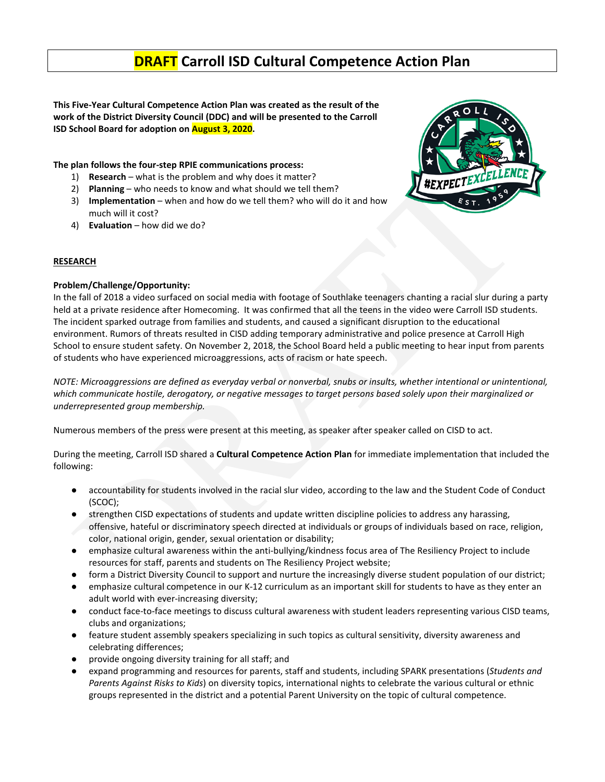# **DRAFT Carroll ISD Cultural Competence Action Plan**

**This Five-Year Cultural Competence Action Plan was created as the result of the work of the District Diversity Council (DDC) and will be presented to the Carroll ISD School Board for adoption on August 3, 2020.**

### **The plan follows the four-step RPIE communications process:**

- 1) **Research** what is the problem and why does it matter?
- 2) **Planning** who needs to know and what should we tell them?
- 3) **Implementation** when and how do we tell them? who will do it and how much will it cost?
- 4) **Evaluation**  how did we do?



#### **RESEARCH**

#### **Problem/Challenge/Opportunity:**

In the fall of 2018 a video surfaced on social media with footage of Southlake teenagers chanting a racial slur during a party held at a private residence after Homecoming. It was confirmed that all the teens in the video were Carroll ISD students. The incident sparked outrage from families and students, and caused a significant disruption to the educational environment. Rumors of threats resulted in CISD adding temporary administrative and police presence at Carroll High School to ensure student safety. On November 2, 2018, the School Board held a public meeting to hear input from parents of students who have experienced microaggressions, acts of racism or hate speech.

*NOTE: Microaggressions are defined as everyday verbal or nonverbal, snubs or insults, whether intentional or unintentional, which communicate hostile, derogatory, or negative messages to target persons based solely upon their marginalized or underrepresented group membership.* 

Numerous members of the press were present at this meeting, as speaker after speaker called on CISD to act.

During the meeting, Carroll ISD shared a **Cultural Competence Action Plan** for immediate implementation that included the following:

- accountability for students involved in the racial slur video, according to the law and the Student Code of Conduct (SCOC);
- strengthen CISD expectations of students and update written discipline policies to address any harassing, offensive, hateful or discriminatory speech directed at individuals or groups of individuals based on race, religion, color, national origin, gender, sexual orientation or disability;
- emphasize cultural awareness within the anti-bullying/kindness focus area of The Resiliency Project to include resources for staff, parents and students on The Resiliency Project website;
- form a District Diversity Council to support and nurture the increasingly diverse student population of our district;
- emphasize cultural competence in our K-12 curriculum as an important skill for students to have as they enter an adult world with ever-increasing diversity;
- conduct face-to-face meetings to discuss cultural awareness with student leaders representing various CISD teams, clubs and organizations;
- feature student assembly speakers specializing in such topics as cultural sensitivity, diversity awareness and celebrating differences;
- provide ongoing diversity training for all staff; and
- expand programming and resources for parents, staff and students, including SPARK presentations (*Students and Parents Against Risks to Kids*) on diversity topics, international nights to celebrate the various cultural or ethnic groups represented in the district and a potential Parent University on the topic of cultural competence.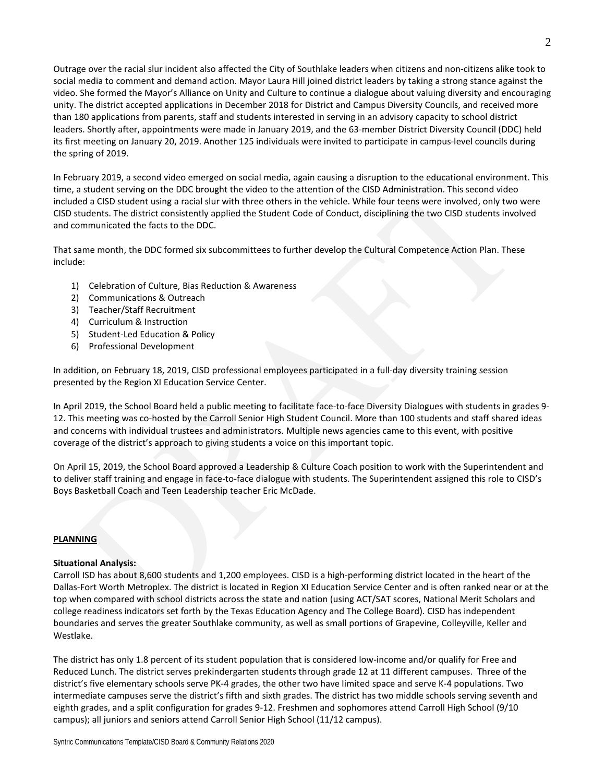Outrage over the racial slur incident also affected the City of Southlake leaders when citizens and non-citizens alike took to social media to comment and demand action. Mayor Laura Hill joined district leaders by taking a strong stance against the video. She formed the Mayor's Alliance on Unity and Culture to continue a dialogue about valuing diversity and encouraging unity. The district accepted applications in December 2018 for District and Campus Diversity Councils, and received more than 180 applications from parents, staff and students interested in serving in an advisory capacity to school district leaders. Shortly after, appointments were made in January 2019, and the 63-member District Diversity Council (DDC) held its first meeting on January 20, 2019. Another 125 individuals were invited to participate in campus-level councils during the spring of 2019.

In February 2019, a second video emerged on social media, again causing a disruption to the educational environment. This time, a student serving on the DDC brought the video to the attention of the CISD Administration. This second video included a CISD student using a racial slur with three others in the vehicle. While four teens were involved, only two were CISD students. The district consistently applied the Student Code of Conduct, disciplining the two CISD students involved and communicated the facts to the DDC.

That same month, the DDC formed six subcommittees to further develop the Cultural Competence Action Plan. These include:

- 1) Celebration of Culture, Bias Reduction & Awareness
- 2) Communications & Outreach
- 3) Teacher/Staff Recruitment
- 4) Curriculum & Instruction
- 5) Student-Led Education & Policy
- 6) Professional Development

In addition, on February 18, 2019, CISD professional employees participated in a full-day diversity training session presented by the Region XI Education Service Center.

In April 2019, the School Board held a public meeting to facilitate face-to-face Diversity Dialogues with students in grades 9- 12. This meeting was co-hosted by the Carroll Senior High Student Council. More than 100 students and staff shared ideas and concerns with individual trustees and administrators. Multiple news agencies came to this event, with positive coverage of the district's approach to giving students a voice on this important topic.

On April 15, 2019, the School Board approved a Leadership & Culture Coach position to work with the Superintendent and to deliver staff training and engage in face-to-face dialogue with students. The Superintendent assigned this role to CISD's Boys Basketball Coach and Teen Leadership teacher Eric McDade.

#### **PLANNING**

#### **Situational Analysis:**

Carroll ISD has about 8,600 students and 1,200 employees. CISD is a high-performing district located in the heart of the Dallas-Fort Worth Metroplex. The district is located in Region XI Education Service Center and is often ranked near or at the top when compared with school districts across the state and nation (using ACT/SAT scores, National Merit Scholars and college readiness indicators set forth by the Texas Education Agency and The College Board). CISD has independent boundaries and serves the greater Southlake community, as well as small portions of Grapevine, Colleyville, Keller and Westlake.

The district has only 1.8 percent of its student population that is considered low-income and/or qualify for Free and Reduced Lunch. The district serves prekindergarten students through grade 12 at 11 different campuses. Three of the district's five elementary schools serve PK-4 grades, the other two have limited space and serve K-4 populations. Two intermediate campuses serve the district's fifth and sixth grades. The district has two middle schools serving seventh and eighth grades, and a split configuration for grades 9-12. Freshmen and sophomores attend Carroll High School (9/10 campus); all juniors and seniors attend Carroll Senior High School (11/12 campus).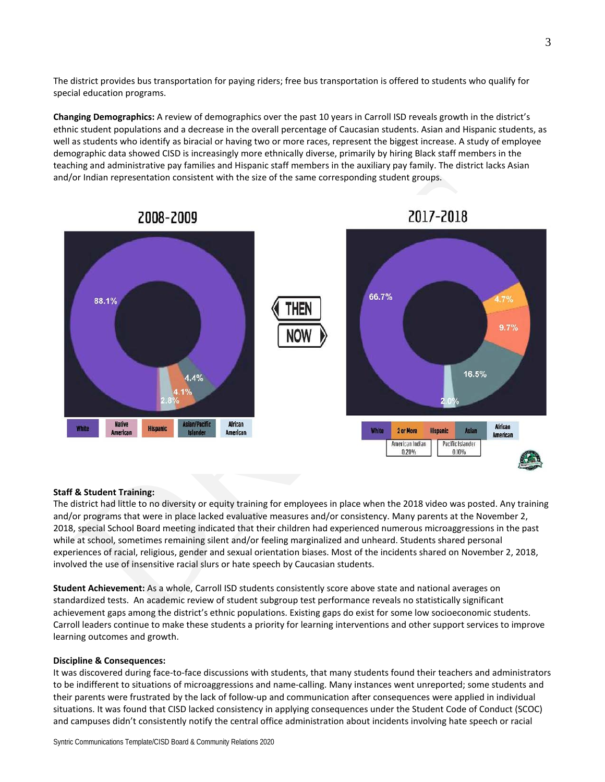The district provides bus transportation for paying riders; free bus transportation is offered to students who qualify for special education programs.

**Changing Demographics:** A review of demographics over the past 10 years in Carroll ISD reveals growth in the district's ethnic student populations and a decrease in the overall percentage of Caucasian students. Asian and Hispanic students, as well as students who identify as biracial or having two or more races, represent the biggest increase. A study of employee demographic data showed CISD is increasingly more ethnically diverse, primarily by hiring Black staff members in the teaching and administrative pay families and Hispanic staff members in the auxiliary pay family. The district lacks Asian and/or Indian representation consistent with the size of the same corresponding student groups.



# 2008-2009

2017-2018

### **Staff & Student Training:**

The district had little to no diversity or equity training for employees in place when the 2018 video was posted. Any training and/or programs that were in place lacked evaluative measures and/or consistency. Many parents at the November 2, 2018, special School Board meeting indicated that their children had experienced numerous microaggressions in the past while at school, sometimes remaining silent and/or feeling marginalized and unheard. Students shared personal experiences of racial, religious, gender and sexual orientation biases. Most of the incidents shared on November 2, 2018, involved the use of insensitive racial slurs or hate speech by Caucasian students.

**Student Achievement:** As a whole, Carroll ISD students consistently score above state and national averages on standardized tests. An academic review of student subgroup test performance reveals no statistically significant achievement gaps among the district's ethnic populations. Existing gaps do exist for some low socioeconomic students. Carroll leaders continue to make these students a priority for learning interventions and other support services to improve learning outcomes and growth.

#### **Discipline & Consequences:**

It was discovered during face-to-face discussions with students, that many students found their teachers and administrators to be indifferent to situations of microaggressions and name-calling. Many instances went unreported; some students and their parents were frustrated by the lack of follow-up and communication after consequences were applied in individual situations. It was found that CISD lacked consistency in applying consequences under the Student Code of Conduct (SCOC) and campuses didn't consistently notify the central office administration about incidents involving hate speech or racial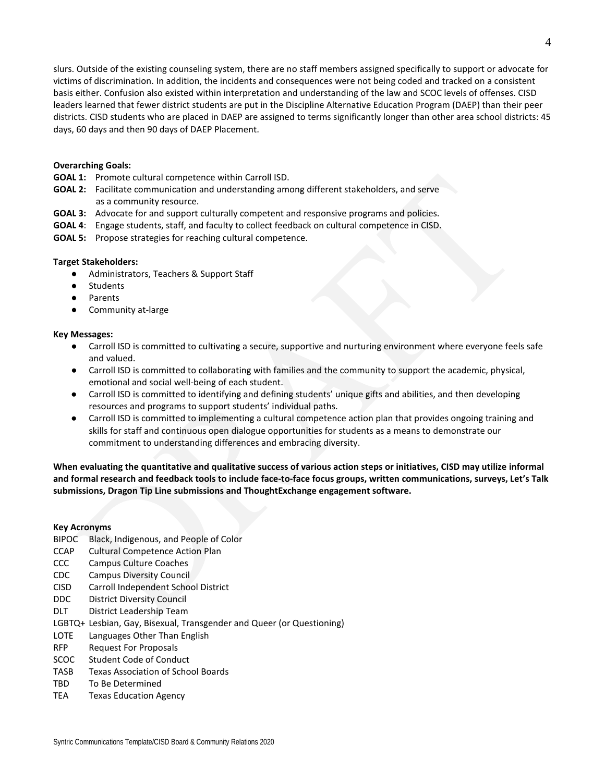slurs. Outside of the existing counseling system, there are no staff members assigned specifically to support or advocate for victims of discrimination. In addition, the incidents and consequences were not being coded and tracked on a consistent basis either. Confusion also existed within interpretation and understanding of the law and SCOC levels of offenses. CISD leaders learned that fewer district students are put in the Discipline Alternative Education Program (DAEP) than their peer districts. CISD students who are placed in DAEP are assigned to terms significantly longer than other area school districts: 45 days, 60 days and then 90 days of DAEP Placement.

#### **Overarching Goals:**

- **GOAL 1:** Promote cultural competence within Carroll ISD.
- **GOAL 2:** Facilitate communication and understanding among different stakeholders, and serve as a community resource.
- **GOAL 3:** Advocate for and support culturally competent and responsive programs and policies.
- **GOAL 4**: Engage students, staff, and faculty to collect feedback on cultural competence in CISD.
- **GOAL 5:** Propose strategies for reaching cultural competence.

#### **Target Stakeholders:**

- Administrators, Teachers & Support Staff
- Students
- Parents
- Community at-large

#### **Key Messages:**

- Carroll ISD is committed to cultivating a secure, supportive and nurturing environment where everyone feels safe and valued.
- Carroll ISD is committed to collaborating with families and the community to support the academic, physical, emotional and social well-being of each student.
- Carroll ISD is committed to identifying and defining students' unique gifts and abilities, and then developing resources and programs to support students' individual paths.
- Carroll ISD is committed to implementing a cultural competence action plan that provides ongoing training and skills for staff and continuous open dialogue opportunities for students as a means to demonstrate our commitment to understanding differences and embracing diversity.

**When evaluating the quantitative and qualitative success of various action steps or initiatives, CISD may utilize informal and formal research and feedback tools to include face-to-face focus groups, written communications, surveys, Let's Talk submissions, Dragon Tip Line submissions and ThoughtExchange engagement software.**

#### **Key Acronyms**

- BIPOC Black, Indigenous, and People of Color
- CCAP Cultural Competence Action Plan
- CCC Campus Culture Coaches
- CDC Campus Diversity Council
- CISD Carroll Independent School District
- DDC District Diversity Council
- DLT District Leadership Team
- LGBTQ+ Lesbian, Gay, Bisexual, Transgender and Queer (or Questioning)
- LOTE Languages Other Than English
- RFP Request For Proposals
- SCOC Student Code of Conduct
- TASB Texas Association of School Boards
- TBD To Be Determined
- TEA Texas Education Agency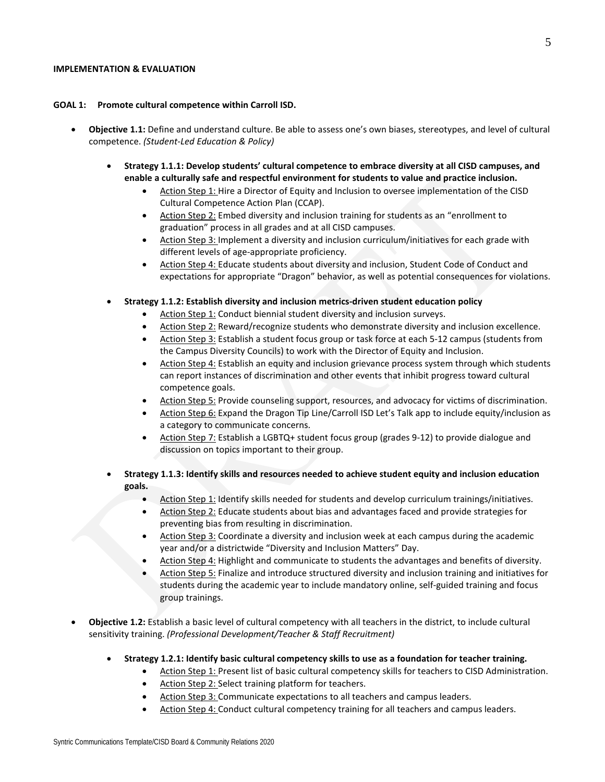#### **IMPLEMENTATION & EVALUATION**

#### **GOAL 1: Promote cultural competence within Carroll ISD.**

- **Objective 1.1:** Define and understand culture. Be able to assess one's own biases, stereotypes, and level of cultural competence. *(Student-Led Education & Policy)*
	- **Strategy 1.1.1: Develop students' cultural competence to embrace diversity at all CISD campuses, and enable a culturally safe and respectful environment for students to value and practice inclusion.**
		- Action Step 1: Hire a Director of Equity and Inclusion to oversee implementation of the CISD Cultural Competence Action Plan (CCAP).
		- Action Step 2: Embed diversity and inclusion training for students as an "enrollment to graduation" process in all grades and at all CISD campuses.
		- Action Step 3: Implement a diversity and inclusion curriculum/initiatives for each grade with different levels of age-appropriate proficiency.
		- Action Step 4: Educate students about diversity and inclusion, Student Code of Conduct and expectations for appropriate "Dragon" behavior, as well as potential consequences for violations.
	- **Strategy 1.1.2: Establish diversity and inclusion metrics-driven student education policy**
		- Action Step 1: Conduct biennial student diversity and inclusion surveys.
		- Action Step 2: Reward/recognize students who demonstrate diversity and inclusion excellence.
		- Action Step 3: Establish a student focus group or task force at each 5-12 campus (students from the Campus Diversity Councils) to work with the Director of Equity and Inclusion.
		- Action Step 4: Establish an equity and inclusion grievance process system through which students can report instances of discrimination and other events that inhibit progress toward cultural competence goals.
		- Action Step 5: Provide counseling support, resources, and advocacy for victims of discrimination.
		- Action Step 6: Expand the Dragon Tip Line/Carroll ISD Let's Talk app to include equity/inclusion as a category to communicate concerns.
		- Action Step 7: Establish a LGBTQ+ student focus group (grades 9-12) to provide dialogue and discussion on topics important to their group.
	- **Strategy 1.1.3: Identify skills and resources needed to achieve student equity and inclusion education goals.**
		- Action Step 1: Identify skills needed for students and develop curriculum trainings/initiatives.
		- Action Step 2: Educate students about bias and advantages faced and provide strategies for preventing bias from resulting in discrimination.
		- Action Step 3: Coordinate a diversity and inclusion week at each campus during the academic year and/or a districtwide "Diversity and Inclusion Matters" Day.
		- Action Step 4: Highlight and communicate to students the advantages and benefits of diversity.
		- Action Step 5: Finalize and introduce structured diversity and inclusion training and initiatives for students during the academic year to include mandatory online, self-guided training and focus group trainings.
- **Objective 1.2:** Establish a basic level of cultural competency with all teachers in the district, to include cultural sensitivity training. *(Professional Development/Teacher & Staff Recruitment)*
	- **Strategy 1.2.1: Identify basic cultural competency skills to use as a foundation for teacher training.**
		- Action Step 1: Present list of basic cultural competency skills for teachers to CISD Administration.
		- Action Step 2: Select training platform for teachers.
		- Action Step 3: Communicate expectations to all teachers and campus leaders.
		- Action Step 4: Conduct cultural competency training for all teachers and campus leaders.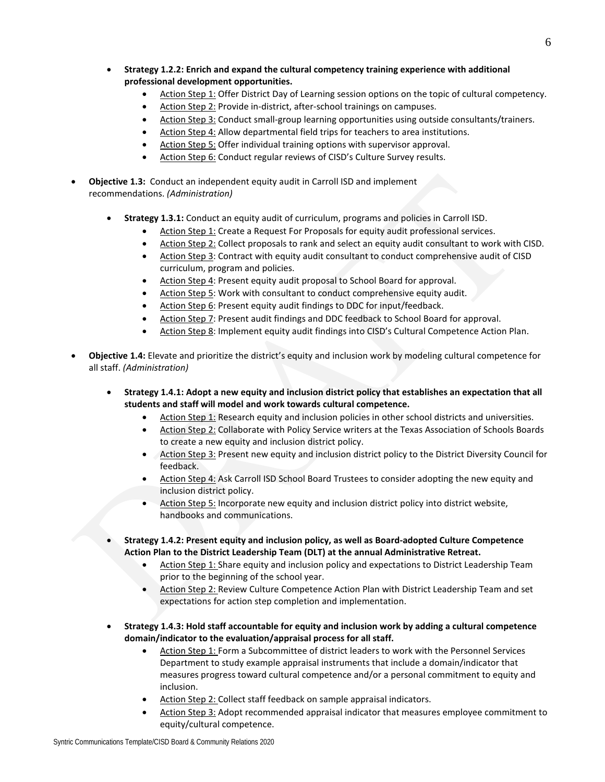- **Strategy 1.2.2: Enrich and expand the cultural competency training experience with additional professional development opportunities.**
	- Action Step 1: Offer District Day of Learning session options on the topic of cultural competency.
	- Action Step 2: Provide in-district, after-school trainings on campuses.
	- Action Step 3: Conduct small-group learning opportunities using outside consultants/trainers.
	- Action Step 4: Allow departmental field trips for teachers to area institutions.
	- Action Step 5: Offer individual training options with supervisor approval.
	- Action Step 6: Conduct regular reviews of CISD's Culture Survey results.
- **Objective 1.3:** Conduct an independent equity audit in Carroll ISD and implement recommendations. *(Administration)*
	- **Strategy 1.3.1:** Conduct an equity audit of curriculum, programs and policies in Carroll ISD.
		- Action Step 1: Create a Request For Proposals for equity audit professional services.
		- Action Step 2: Collect proposals to rank and select an equity audit consultant to work with CISD.
		- Action Step 3: Contract with equity audit consultant to conduct comprehensive audit of CISD curriculum, program and policies.
		- Action Step 4: Present equity audit proposal to School Board for approval.
		- Action Step 5: Work with consultant to conduct comprehensive equity audit.
		- Action Step 6: Present equity audit findings to DDC for input/feedback.
		- Action Step 7: Present audit findings and DDC feedback to School Board for approval.
		- Action Step 8: Implement equity audit findings into CISD's Cultural Competence Action Plan.
- **Objective 1.4:** Elevate and prioritize the district's equity and inclusion work by modeling cultural competence for all staff. *(Administration)*
	- **Strategy 1.4.1: Adopt a new equity and inclusion district policy that establishes an expectation that all students and staff will model and work towards cultural competence.**
		- Action Step 1: Research equity and inclusion policies in other school districts and universities.
		- Action Step 2: Collaborate with Policy Service writers at the Texas Association of Schools Boards to create a new equity and inclusion district policy.
		- Action Step 3: Present new equity and inclusion district policy to the District Diversity Council for feedback.
		- Action Step 4: Ask Carroll ISD School Board Trustees to consider adopting the new equity and inclusion district policy.
		- Action Step 5: Incorporate new equity and inclusion district policy into district website, handbooks and communications.
	- **Strategy 1.4.2: Present equity and inclusion policy, as well as Board-adopted Culture Competence Action Plan to the District Leadership Team (DLT) at the annual Administrative Retreat.**
		- Action Step 1: Share equity and inclusion policy and expectations to District Leadership Team prior to the beginning of the school year.
		- Action Step 2: Review Culture Competence Action Plan with District Leadership Team and set expectations for action step completion and implementation.
	- **Strategy 1.4.3: Hold staff accountable for equity and inclusion work by adding a cultural competence domain/indicator to the evaluation/appraisal process for all staff.**
		- Action Step 1: Form a Subcommittee of district leaders to work with the Personnel Services Department to study example appraisal instruments that include a domain/indicator that measures progress toward cultural competence and/or a personal commitment to equity and inclusion.
		- Action Step 2: Collect staff feedback on sample appraisal indicators.
		- Action Step 3: Adopt recommended appraisal indicator that measures employee commitment to equity/cultural competence.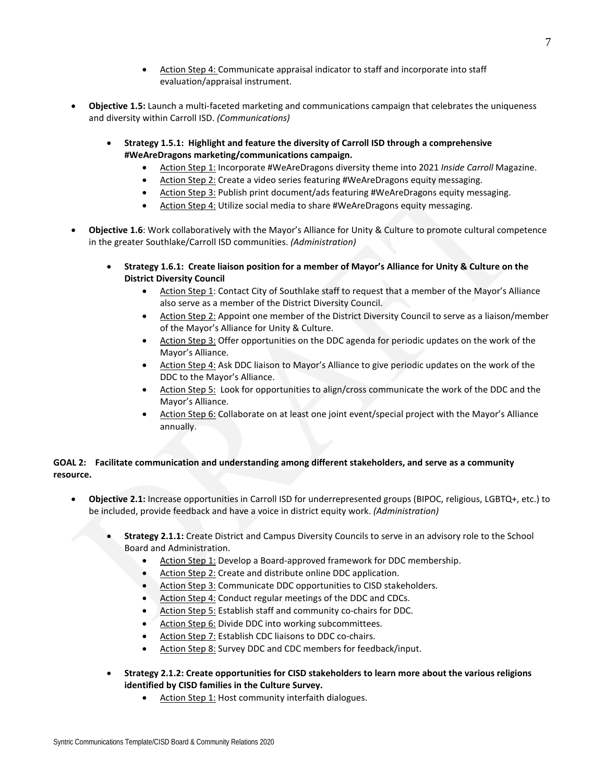- Action Step 4: Communicate appraisal indicator to staff and incorporate into staff evaluation/appraisal instrument.
- **Objective 1.5:** Launch a multi-faceted marketing and communications campaign that celebrates the uniqueness and diversity within Carroll ISD. *(Communications)*
	- **Strategy 1.5.1: Highlight and feature the diversity of Carroll ISD through a comprehensive #WeAreDragons marketing/communications campaign.**
		- Action Step 1: Incorporate #WeAreDragons diversity theme into 2021 *Inside Carroll* Magazine.
		- Action Step 2: Create a video series featuring #WeAreDragons equity messaging.
		- Action Step 3: Publish print document/ads featuring #WeAreDragons equity messaging.
		- Action Step 4: Utilize social media to share #WeAreDragons equity messaging.
- **Objective 1.6**: Work collaboratively with the Mayor's Alliance for Unity & Culture to promote cultural competence in the greater Southlake/Carroll ISD communities. *(Administration)*
	- **Strategy 1.6.1: Create liaison position for a member of Mayor's Alliance for Unity & Culture on the District Diversity Council**
		- Action Step 1: Contact City of Southlake staff to request that a member of the Mayor's Alliance also serve as a member of the District Diversity Council.
		- Action Step 2: Appoint one member of the District Diversity Council to serve as a liaison/member of the Mayor's Alliance for Unity & Culture.
		- Action Step 3: Offer opportunities on the DDC agenda for periodic updates on the work of the Mayor's Alliance.
		- Action Step 4: Ask DDC liaison to Mayor's Alliance to give periodic updates on the work of the DDC to the Mayor's Alliance.
		- Action Step 5: Look for opportunities to align/cross communicate the work of the DDC and the Mayor's Alliance.
		- Action Step 6: Collaborate on at least one joint event/special project with the Mayor's Alliance annually.

## **GOAL 2: Facilitate communication and understanding among different stakeholders, and serve as a community resource.**

- **Objective 2.1:** Increase opportunities in Carroll ISD for underrepresented groups (BIPOC, religious, LGBTQ+, etc.) to be included, provide feedback and have a voice in district equity work. *(Administration)*
	- **Strategy 2.1.1:** Create District and Campus Diversity Councils to serve in an advisory role to the School Board and Administration.
		- Action Step 1: Develop a Board-approved framework for DDC membership.
		- Action Step 2: Create and distribute online DDC application.
		- Action Step 3: Communicate DDC opportunities to CISD stakeholders.
		- Action Step 4: Conduct regular meetings of the DDC and CDCs.
		- Action Step 5: Establish staff and community co-chairs for DDC.
		- Action Step 6: Divide DDC into working subcommittees.
		- Action Step 7: Establish CDC liaisons to DDC co-chairs.
		- Action Step 8: Survey DDC and CDC members for feedback/input.
	- **Strategy 2.1.2: Create opportunities for CISD stakeholders to learn more about the various religions identified by CISD families in the Culture Survey.** 
		- Action Step 1: Host community interfaith dialogues.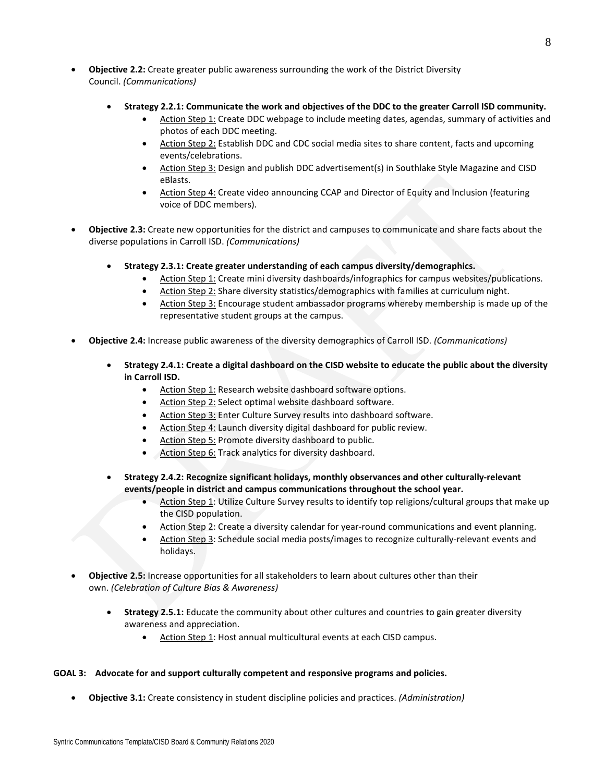- **Objective 2.2:** Create greater public awareness surrounding the work of the District Diversity Council. *(Communications)*
	- **Strategy 2.2.1: Communicate the work and objectives of the DDC to the greater Carroll ISD community.**
		- Action Step 1: Create DDC webpage to include meeting dates, agendas, summary of activities and photos of each DDC meeting.
		- Action Step 2: Establish DDC and CDC social media sites to share content, facts and upcoming events/celebrations.
		- Action Step 3: Design and publish DDC advertisement(s) in Southlake Style Magazine and CISD eBlasts.
		- Action Step 4: Create video announcing CCAP and Director of Equity and Inclusion (featuring voice of DDC members).
- **Objective 2.3:** Create new opportunities for the district and campuses to communicate and share facts about the diverse populations in Carroll ISD. *(Communications)*
	- **Strategy 2.3.1: Create greater understanding of each campus diversity/demographics.**
		- Action Step 1: Create mini diversity dashboards/infographics for campus websites/publications.
		- Action Step 2: Share diversity statistics/demographics with families at curriculum night.
		- Action Step 3: Encourage student ambassador programs whereby membership is made up of the representative student groups at the campus.
- **Objective 2.4:** Increase public awareness of the diversity demographics of Carroll ISD. *(Communications)*
	- **Strategy 2.4.1: Create a digital dashboard on the CISD website to educate the public about the diversity in Carroll ISD.**
		- Action Step 1: Research website dashboard software options.
		- Action Step 2: Select optimal website dashboard software.
		- Action Step 3: Enter Culture Survey results into dashboard software.
		- Action Step 4: Launch diversity digital dashboard for public review.
		- Action Step 5: Promote diversity dashboard to public.
		- Action Step 6: Track analytics for diversity dashboard.
	- **Strategy 2.4.2: Recognize significant holidays, monthly observances and other culturally-relevant events/people in district and campus communications throughout the school year.**
		- Action Step 1: Utilize Culture Survey results to identify top religions/cultural groups that make up the CISD population.
		- Action Step 2: Create a diversity calendar for year-round communications and event planning.
		- Action Step 3: Schedule social media posts/images to recognize culturally-relevant events and holidays.
- **Objective 2.5:** Increase opportunities for all stakeholders to learn about cultures other than their own. *(Celebration of Culture Bias & Awareness)*
	- **Strategy 2.5.1:** Educate the community about other cultures and countries to gain greater diversity awareness and appreciation.
		- Action Step 1: Host annual multicultural events at each CISD campus.

### **GOAL 3: Advocate for and support culturally competent and responsive programs and policies.**

• **Objective 3.1:** Create consistency in student discipline policies and practices. *(Administration)*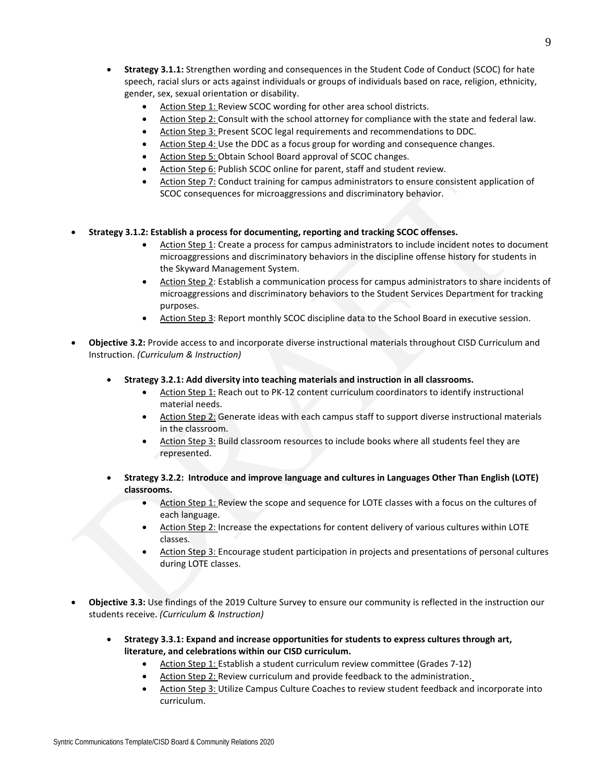- **Strategy 3.1.1:** Strengthen wording and consequences in the Student Code of Conduct (SCOC) for hate speech, racial slurs or acts against individuals or groups of individuals based on race, religion, ethnicity, gender, sex, sexual orientation or disability.
	- Action Step 1: Review SCOC wording for other area school districts.
	- Action Step 2: Consult with the school attorney for compliance with the state and federal law.
	- Action Step 3: Present SCOC legal requirements and recommendations to DDC.
	- Action Step 4: Use the DDC as a focus group for wording and consequence changes.
	- Action Step 5: Obtain School Board approval of SCOC changes.
	- Action Step 6: Publish SCOC online for parent, staff and student review.
	- Action Step 7: Conduct training for campus administrators to ensure consistent application of SCOC consequences for microaggressions and discriminatory behavior.
- **Strategy 3.1.2: Establish a process for documenting, reporting and tracking SCOC offenses.**
	- Action Step 1: Create a process for campus administrators to include incident notes to document microaggressions and discriminatory behaviors in the discipline offense history for students in the Skyward Management System.
	- Action Step 2: Establish a communication process for campus administrators to share incidents of microaggressions and discriminatory behaviors to the Student Services Department for tracking purposes.
	- Action Step 3: Report monthly SCOC discipline data to the School Board in executive session.
- **Objective 3.2:** Provide access to and incorporate diverse instructional materials throughout CISD Curriculum and Instruction. *(Curriculum & Instruction)*
	- **Strategy 3.2.1: Add diversity into teaching materials and instruction in all classrooms.**
		- Action Step 1: Reach out to PK-12 content curriculum coordinators to identify instructional material needs.
		- Action Step 2: Generate ideas with each campus staff to support diverse instructional materials in the classroom.
		- Action Step 3: Build classroom resources to include books where all students feel they are represented.
	- **Strategy 3.2.2: Introduce and improve language and cultures in Languages Other Than English (LOTE) classrooms.**
		- Action Step 1: Review the scope and sequence for LOTE classes with a focus on the cultures of each language.
		- Action Step 2: Increase the expectations for content delivery of various cultures within LOTE classes.
		- Action Step 3: Encourage student participation in projects and presentations of personal cultures during LOTE classes.
- **Objective 3.3:** Use findings of the 2019 Culture Survey to ensure our community is reflected in the instruction our students receive. *(Curriculum & Instruction)*
	- **Strategy 3.3.1: Expand and increase opportunities for students to express cultures through art, literature, and celebrations within our CISD curriculum.**
		- Action Step 1: Establish a student curriculum review committee (Grades 7-12)
		- Action Step 2: Review curriculum and provide feedback to the administration.
		- Action Step 3: Utilize Campus Culture Coaches to review student feedback and incorporate into curriculum.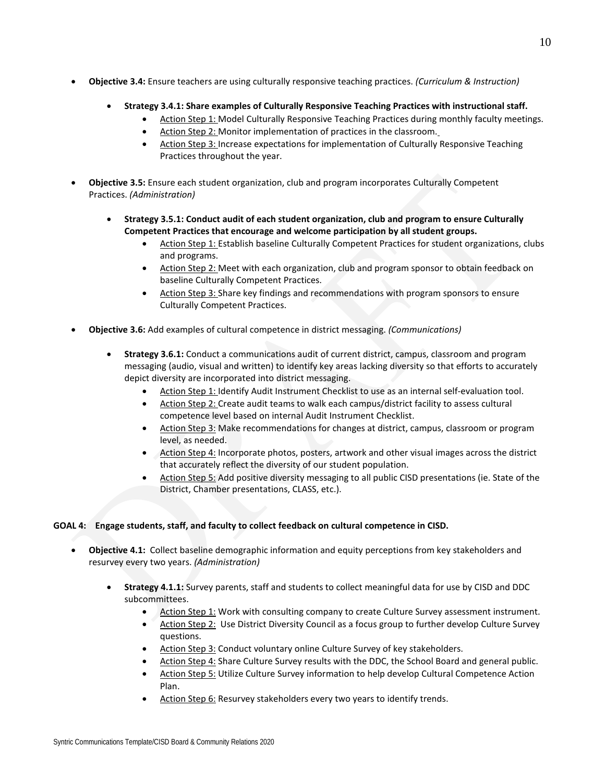- 
- **Objective 3.4:** Ensure teachers are using culturally responsive teaching practices. *(Curriculum & Instruction)*
	- **Strategy 3.4.1: Share examples of Culturally Responsive Teaching Practices with instructional staff.**
		- Action Step 1: Model Culturally Responsive Teaching Practices during monthly faculty meetings.
		- Action Step 2: Monitor implementation of practices in the classroom.
		- Action Step 3: Increase expectations for implementation of Culturally Responsive Teaching Practices throughout the year.
- **Objective 3.5:** Ensure each student organization, club and program incorporates Culturally Competent Practices. *(Administration)*
	- **Strategy 3.5.1: Conduct audit of each student organization, club and program to ensure Culturally Competent Practices that encourage and welcome participation by all student groups.**
		- Action Step 1: Establish baseline Culturally Competent Practices for student organizations, clubs and programs.
		- Action Step 2: Meet with each organization, club and program sponsor to obtain feedback on baseline Culturally Competent Practices.
		- Action Step 3: Share key findings and recommendations with program sponsors to ensure Culturally Competent Practices.
- **Objective 3.6:** Add examples of cultural competence in district messaging. *(Communications)*
	- **Strategy 3.6.1:** Conduct a communications audit of current district, campus, classroom and program messaging (audio, visual and written) to identify key areas lacking diversity so that efforts to accurately depict diversity are incorporated into district messaging.
		- Action Step 1: Identify Audit Instrument Checklist to use as an internal self-evaluation tool.
		- Action Step 2: Create audit teams to walk each campus/district facility to assess cultural competence level based on internal Audit Instrument Checklist.
		- Action Step 3: Make recommendations for changes at district, campus, classroom or program level, as needed.
		- Action Step 4: Incorporate photos, posters, artwork and other visual images across the district that accurately reflect the diversity of our student population.
		- Action Step 5: Add positive diversity messaging to all public CISD presentations (ie. State of the District, Chamber presentations, CLASS, etc.).

# **GOAL 4: Engage students, staff, and faculty to collect feedback on cultural competence in CISD.**

- **Objective 4.1:** Collect baseline demographic information and equity perceptions from key stakeholders and resurvey every two years. *(Administration)*
	- **Strategy 4.1.1:** Survey parents, staff and students to collect meaningful data for use by CISD and DDC subcommittees.
		- Action Step 1: Work with consulting company to create Culture Survey assessment instrument.
		- Action Step 2: Use District Diversity Council as a focus group to further develop Culture Survey questions.
		- Action Step 3: Conduct voluntary online Culture Survey of key stakeholders.
		- Action Step 4: Share Culture Survey results with the DDC, the School Board and general public.
		- Action Step 5: Utilize Culture Survey information to help develop Cultural Competence Action Plan.
		- Action Step 6: Resurvey stakeholders every two years to identify trends.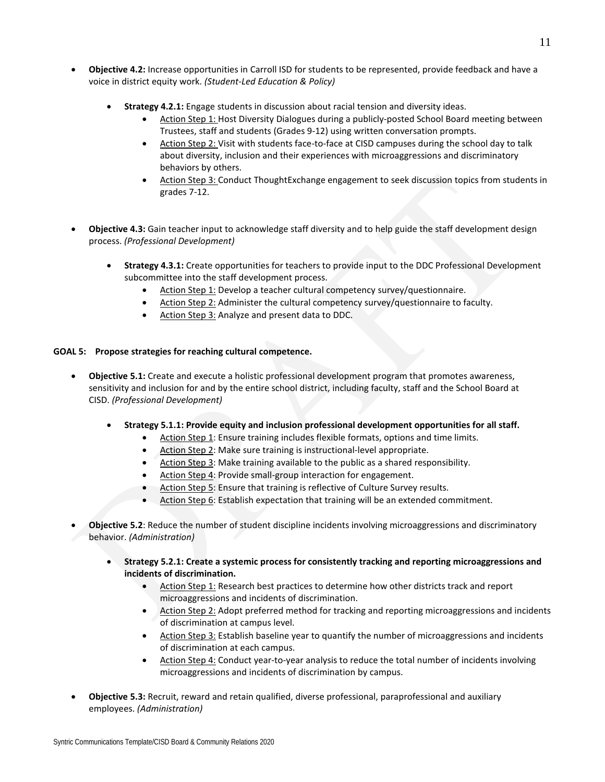- **Objective 4.2:** Increase opportunities in Carroll ISD for students to be represented, provide feedback and have a voice in district equity work. *(Student-Led Education & Policy)*
	- **Strategy 4.2.1:** Engage students in discussion about racial tension and diversity ideas.
		- Action Step 1: Host Diversity Dialogues during a publicly-posted School Board meeting between Trustees, staff and students (Grades 9-12) using written conversation prompts.
		- Action Step 2: Visit with students face-to-face at CISD campuses during the school day to talk about diversity, inclusion and their experiences with microaggressions and discriminatory behaviors by others.
		- Action Step 3: Conduct ThoughtExchange engagement to seek discussion topics from students in grades 7-12.
- **Objective 4.3:** Gain teacher input to acknowledge staff diversity and to help guide the staff development design process. *(Professional Development)*
	- **Strategy 4.3.1:** Create opportunities for teachers to provide input to the DDC Professional Development subcommittee into the staff development process.
		- Action Step 1: Develop a teacher cultural competency survey/questionnaire.
		- Action Step 2: Administer the cultural competency survey/questionnaire to faculty.
		- Action Step 3: Analyze and present data to DDC.

# **GOAL 5: Propose strategies for reaching cultural competence.**

- **Objective 5.1:** Create and execute a holistic professional development program that promotes awareness, sensitivity and inclusion for and by the entire school district, including faculty, staff and the School Board at CISD. *(Professional Development)*
	- **Strategy 5.1.1: Provide equity and inclusion professional development opportunities for all staff.**
		- Action Step 1: Ensure training includes flexible formats, options and time limits.
			- Action Step 2: Make sure training is instructional-level appropriate.
			- Action Step 3: Make training available to the public as a shared responsibility.
			- Action Step 4: Provide small-group interaction for engagement.
			- Action Step 5: Ensure that training is reflective of Culture Survey results.
			- Action Step 6: Establish expectation that training will be an extended commitment.
- **Objective 5.2**: Reduce the number of student discipline incidents involving microaggressions and discriminatory behavior. *(Administration)*
	- **Strategy 5.2.1: Create a systemic process for consistently tracking and reporting microaggressions and incidents of discrimination.**
		- Action Step 1: Research best practices to determine how other districts track and report microaggressions and incidents of discrimination.
		- Action Step 2: Adopt preferred method for tracking and reporting microaggressions and incidents of discrimination at campus level.
		- Action Step 3: Establish baseline year to quantify the number of microaggressions and incidents of discrimination at each campus.
		- Action Step 4: Conduct year-to-year analysis to reduce the total number of incidents involving microaggressions and incidents of discrimination by campus.
- **Objective 5.3:** Recruit, reward and retain qualified, diverse professional, paraprofessional and auxiliary employees. *(Administration)*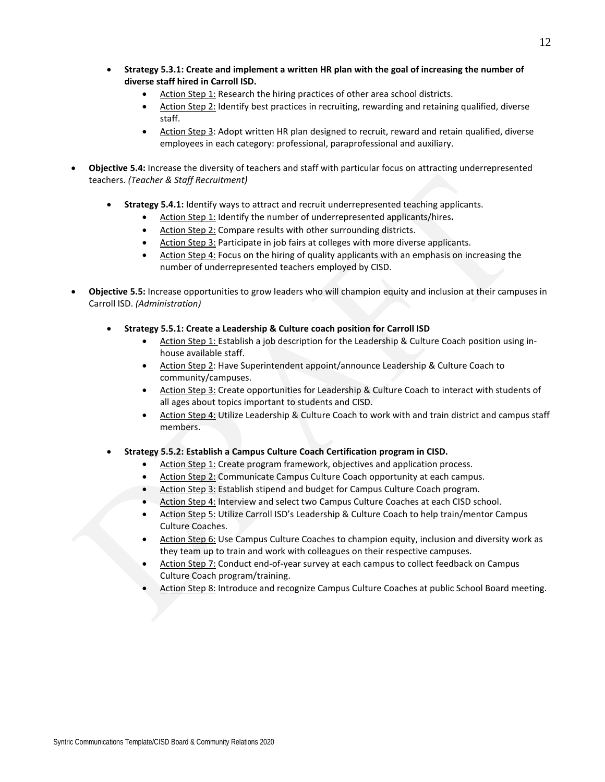- **Strategy 5.3.1: Create and implement a written HR plan with the goal of increasing the number of diverse staff hired in Carroll ISD.** 
	- Action Step 1: Research the hiring practices of other area school districts.
	- Action Step 2: Identify best practices in recruiting, rewarding and retaining qualified, diverse staff.
	- Action Step 3: Adopt written HR plan designed to recruit, reward and retain qualified, diverse employees in each category: professional, paraprofessional and auxiliary.
- **Objective 5.4:** Increase the diversity of teachers and staff with particular focus on attracting underrepresented teachers. *(Teacher & Staff Recruitment)*
	- **Strategy 5.4.1:** Identify ways to attract and recruit underrepresented teaching applicants.
		- Action Step 1: Identify the number of underrepresented applicants/hires**.**
		- Action Step 2: Compare results with other surrounding districts.
		- Action Step 3: Participate in job fairs at colleges with more diverse applicants.
		- Action Step 4: Focus on the hiring of quality applicants with an emphasis on increasing the number of underrepresented teachers employed by CISD.
- **Objective 5.5:** Increase opportunities to grow leaders who will champion equity and inclusion at their campuses in Carroll ISD. *(Administration)*
	- **Strategy 5.5.1: Create a Leadership & Culture coach position for Carroll ISD**
		- Action Step 1: Establish a job description for the Leadership & Culture Coach position using inhouse available staff.
		- Action Step 2: Have Superintendent appoint/announce Leadership & Culture Coach to community/campuses.
		- Action Step 3: Create opportunities for Leadership & Culture Coach to interact with students of all ages about topics important to students and CISD.
		- Action Step 4: Utilize Leadership & Culture Coach to work with and train district and campus staff members.
	- **Strategy 5.5.2: Establish a Campus Culture Coach Certification program in CISD.**
		- Action Step 1: Create program framework, objectives and application process.
		- Action Step 2: Communicate Campus Culture Coach opportunity at each campus.
		- Action Step 3: Establish stipend and budget for Campus Culture Coach program.
		- Action Step 4: Interview and select two Campus Culture Coaches at each CISD school.
		- Action Step 5: Utilize Carroll ISD's Leadership & Culture Coach to help train/mentor Campus Culture Coaches.
		- Action Step 6: Use Campus Culture Coaches to champion equity, inclusion and diversity work as they team up to train and work with colleagues on their respective campuses.
		- Action Step 7: Conduct end-of-year survey at each campus to collect feedback on Campus Culture Coach program/training.
		- Action Step 8: Introduce and recognize Campus Culture Coaches at public School Board meeting.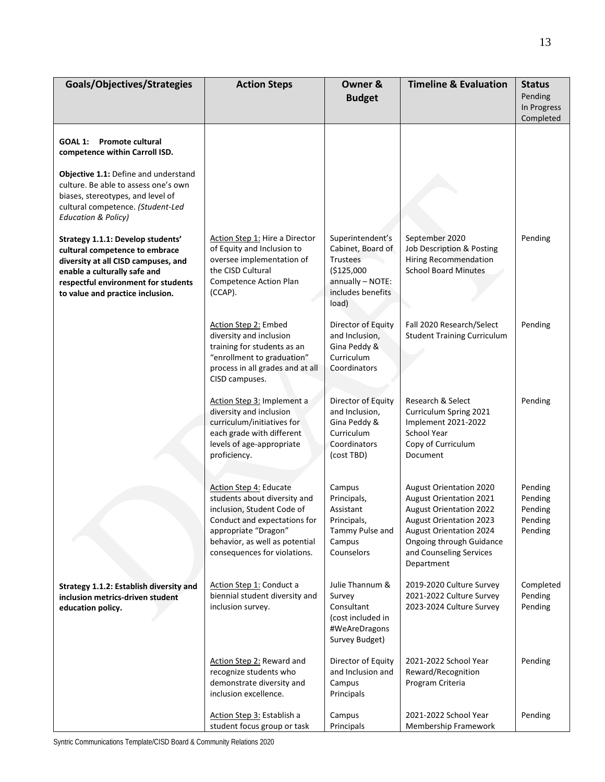| Goals/Objectives/Strategies                                                                                                                                                                                           | <b>Action Steps</b>                                                                                                                                                                                            | Owner &<br><b>Budget</b>                                                                                          | <b>Timeline &amp; Evaluation</b>                                                                                                                                                                                                            | <b>Status</b><br>Pending<br>In Progress             |
|-----------------------------------------------------------------------------------------------------------------------------------------------------------------------------------------------------------------------|----------------------------------------------------------------------------------------------------------------------------------------------------------------------------------------------------------------|-------------------------------------------------------------------------------------------------------------------|---------------------------------------------------------------------------------------------------------------------------------------------------------------------------------------------------------------------------------------------|-----------------------------------------------------|
|                                                                                                                                                                                                                       |                                                                                                                                                                                                                |                                                                                                                   |                                                                                                                                                                                                                                             | Completed                                           |
| <b>GOAL 1:</b><br><b>Promote cultural</b><br>competence within Carroll ISD.                                                                                                                                           |                                                                                                                                                                                                                |                                                                                                                   |                                                                                                                                                                                                                                             |                                                     |
| Objective 1.1: Define and understand<br>culture. Be able to assess one's own<br>biases, stereotypes, and level of<br>cultural competence. (Student-Led<br><b>Education &amp; Policy)</b>                              |                                                                                                                                                                                                                |                                                                                                                   |                                                                                                                                                                                                                                             |                                                     |
| Strategy 1.1.1: Develop students'<br>cultural competence to embrace<br>diversity at all CISD campuses, and<br>enable a culturally safe and<br>respectful environment for students<br>to value and practice inclusion. | Action Step 1: Hire a Director<br>of Equity and Inclusion to<br>oversee implementation of<br>the CISD Cultural<br>Competence Action Plan<br>(CCAP).                                                            | Superintendent's<br>Cabinet, Board of<br>Trustees<br>(\$125,000<br>annually - NOTE:<br>includes benefits<br>load) | September 2020<br>Job Description & Posting<br><b>Hiring Recommendation</b><br><b>School Board Minutes</b>                                                                                                                                  | Pending                                             |
|                                                                                                                                                                                                                       | <b>Action Step 2: Embed</b><br>diversity and inclusion<br>training for students as an<br>"enrollment to graduation"<br>process in all grades and at all<br>CISD campuses.                                      | Director of Equity<br>and Inclusion,<br>Gina Peddy &<br>Curriculum<br>Coordinators                                | Fall 2020 Research/Select<br><b>Student Training Curriculum</b>                                                                                                                                                                             | Pending                                             |
|                                                                                                                                                                                                                       | Action Step 3: Implement a<br>diversity and inclusion<br>curriculum/initiatives for<br>each grade with different<br>levels of age-appropriate<br>proficiency.                                                  | Director of Equity<br>and Inclusion,<br>Gina Peddy &<br>Curriculum<br>Coordinators<br>(cost TBD)                  | Research & Select<br>Curriculum Spring 2021<br>Implement 2021-2022<br><b>School Year</b><br>Copy of Curriculum<br>Document                                                                                                                  | Pending                                             |
|                                                                                                                                                                                                                       | Action Step 4: Educate<br>students about diversity and<br>inclusion, Student Code of<br>Conduct and expectations for<br>appropriate "Dragon"<br>behavior, as well as potential<br>consequences for violations. | Campus<br>Principals,<br>Assistant<br>Principals,<br>Tammy Pulse and<br>Campus<br>Counselors                      | <b>August Orientation 2020</b><br><b>August Orientation 2021</b><br><b>August Orientation 2022</b><br><b>August Orientation 2023</b><br><b>August Orientation 2024</b><br>Ongoing through Guidance<br>and Counseling Services<br>Department | Pending<br>Pending<br>Pending<br>Pending<br>Pending |
| Strategy 1.1.2: Establish diversity and<br>inclusion metrics-driven student<br>education policy.                                                                                                                      | Action Step 1: Conduct a<br>biennial student diversity and<br>inclusion survey.                                                                                                                                | Julie Thannum &<br>Survey<br>Consultant<br>(cost included in<br>#WeAreDragons<br>Survey Budget)                   | 2019-2020 Culture Survey<br>2021-2022 Culture Survey<br>2023-2024 Culture Survey                                                                                                                                                            | Completed<br>Pending<br>Pending                     |
|                                                                                                                                                                                                                       | Action Step 2: Reward and<br>recognize students who<br>demonstrate diversity and<br>inclusion excellence.                                                                                                      | Director of Equity<br>and Inclusion and<br>Campus<br>Principals                                                   | 2021-2022 School Year<br>Reward/Recognition<br>Program Criteria                                                                                                                                                                             | Pending                                             |
|                                                                                                                                                                                                                       | Action Step 3: Establish a<br>student focus group or task                                                                                                                                                      | Campus<br>Principals                                                                                              | 2021-2022 School Year<br>Membership Framework                                                                                                                                                                                               | Pending                                             |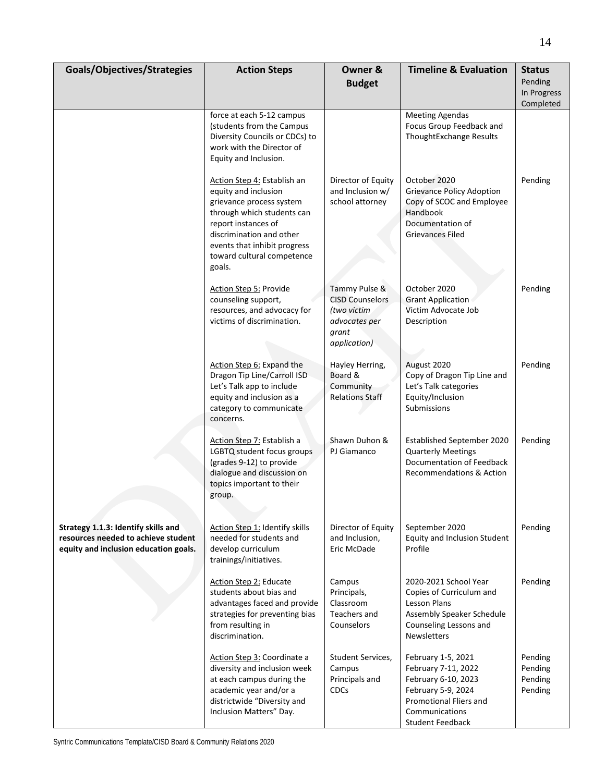| Goals/Objectives/Strategies                                                                                         | <b>Action Steps</b>                                                                                                                                                                                                                      | Owner &<br><b>Budget</b>                                                                         | <b>Timeline &amp; Evaluation</b>                                                                                                                              | <b>Status</b><br>Pending<br>In Progress<br>Completed |
|---------------------------------------------------------------------------------------------------------------------|------------------------------------------------------------------------------------------------------------------------------------------------------------------------------------------------------------------------------------------|--------------------------------------------------------------------------------------------------|---------------------------------------------------------------------------------------------------------------------------------------------------------------|------------------------------------------------------|
|                                                                                                                     | force at each 5-12 campus<br>(students from the Campus<br>Diversity Councils or CDCs) to<br>work with the Director of<br>Equity and Inclusion.                                                                                           |                                                                                                  | <b>Meeting Agendas</b><br>Focus Group Feedback and<br>ThoughtExchange Results                                                                                 |                                                      |
|                                                                                                                     | Action Step 4: Establish an<br>equity and inclusion<br>grievance process system<br>through which students can<br>report instances of<br>discrimination and other<br>events that inhibit progress<br>toward cultural competence<br>goals. | Director of Equity<br>and Inclusion w/<br>school attorney                                        | October 2020<br><b>Grievance Policy Adoption</b><br>Copy of SCOC and Employee<br>Handbook<br>Documentation of<br>Grievances Filed                             | Pending                                              |
|                                                                                                                     | <b>Action Step 5: Provide</b><br>counseling support,<br>resources, and advocacy for<br>victims of discrimination.                                                                                                                        | Tammy Pulse &<br><b>CISD Counselors</b><br>(two victim<br>advocates per<br>grant<br>application) | October 2020<br><b>Grant Application</b><br>Victim Advocate Job<br>Description                                                                                | Pending                                              |
|                                                                                                                     | Action Step 6: Expand the<br>Dragon Tip Line/Carroll ISD<br>Let's Talk app to include<br>equity and inclusion as a<br>category to communicate<br>concerns.                                                                               | Hayley Herring,<br>Board &<br>Community<br><b>Relations Staff</b>                                | August 2020<br>Copy of Dragon Tip Line and<br>Let's Talk categories<br>Equity/Inclusion<br>Submissions                                                        | Pending                                              |
|                                                                                                                     | Action Step 7: Establish a<br>LGBTQ student focus groups<br>(grades 9-12) to provide<br>dialogue and discussion on<br>topics important to their<br>group.                                                                                | Shawn Duhon &<br>PJ Giamanco                                                                     | Established September 2020<br><b>Quarterly Meetings</b><br>Documentation of Feedback<br>Recommendations & Action                                              | Pending                                              |
| Strategy 1.1.3: Identify skills and<br>resources needed to achieve student<br>equity and inclusion education goals. | Action Step 1: Identify skills<br>needed for students and<br>develop curriculum<br>trainings/initiatives.                                                                                                                                | Director of Equity<br>and Inclusion,<br>Eric McDade                                              | September 2020<br>Equity and Inclusion Student<br>Profile                                                                                                     | Pending                                              |
|                                                                                                                     | <b>Action Step 2: Educate</b><br>students about bias and<br>advantages faced and provide<br>strategies for preventing bias<br>from resulting in<br>discrimination.                                                                       | Campus<br>Principals,<br>Classroom<br>Teachers and<br>Counselors                                 | 2020-2021 School Year<br>Copies of Curriculum and<br>Lesson Plans<br>Assembly Speaker Schedule<br>Counseling Lessons and<br><b>Newsletters</b>                | Pending                                              |
|                                                                                                                     | Action Step 3: Coordinate a<br>diversity and inclusion week<br>at each campus during the<br>academic year and/or a<br>districtwide "Diversity and<br>Inclusion Matters" Day.                                                             | Student Services,<br>Campus<br>Principals and<br>CDCs                                            | February 1-5, 2021<br>February 7-11, 2022<br>February 6-10, 2023<br>February 5-9, 2024<br>Promotional Fliers and<br>Communications<br><b>Student Feedback</b> | Pending<br>Pending<br>Pending<br>Pending             |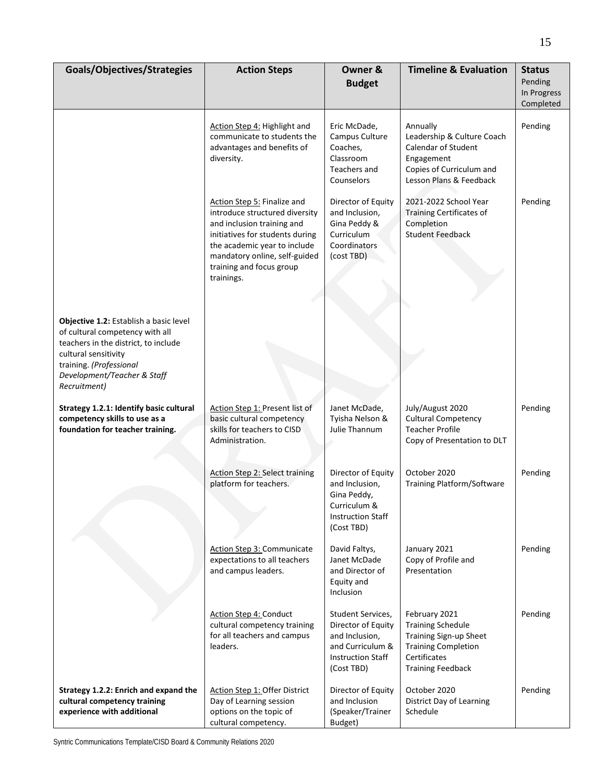| Goals/Objectives/Strategies                                                                                                                                                                                         | <b>Action Steps</b>                                                                                                                                                                                                                       | Owner &<br><b>Budget</b>                                                                                                | <b>Timeline &amp; Evaluation</b>                                                                                                              | <b>Status</b><br>Pending<br>In Progress<br>Completed |
|---------------------------------------------------------------------------------------------------------------------------------------------------------------------------------------------------------------------|-------------------------------------------------------------------------------------------------------------------------------------------------------------------------------------------------------------------------------------------|-------------------------------------------------------------------------------------------------------------------------|-----------------------------------------------------------------------------------------------------------------------------------------------|------------------------------------------------------|
|                                                                                                                                                                                                                     | Action Step 4: Highlight and<br>communicate to students the<br>advantages and benefits of<br>diversity.                                                                                                                                   | Eric McDade,<br>Campus Culture<br>Coaches,<br>Classroom<br>Teachers and<br>Counselors                                   | Annually<br>Leadership & Culture Coach<br><b>Calendar of Student</b><br>Engagement<br>Copies of Curriculum and<br>Lesson Plans & Feedback     | Pending                                              |
|                                                                                                                                                                                                                     | Action Step 5: Finalize and<br>introduce structured diversity<br>and inclusion training and<br>initiatives for students during<br>the academic year to include<br>mandatory online, self-guided<br>training and focus group<br>trainings. | Director of Equity<br>and Inclusion,<br>Gina Peddy &<br>Curriculum<br>Coordinators<br>(cost TBD)                        | 2021-2022 School Year<br>Training Certificates of<br>Completion<br><b>Student Feedback</b>                                                    | Pending                                              |
| Objective 1.2: Establish a basic level<br>of cultural competency with all<br>teachers in the district, to include<br>cultural sensitivity<br>training. (Professional<br>Development/Teacher & Staff<br>Recruitment) |                                                                                                                                                                                                                                           |                                                                                                                         |                                                                                                                                               |                                                      |
| Strategy 1.2.1: Identify basic cultural<br>competency skills to use as a<br>foundation for teacher training.                                                                                                        | Action Step 1: Present list of<br>basic cultural competency<br>skills for teachers to CISD<br>Administration.                                                                                                                             | Janet McDade,<br>Tyisha Nelson &<br>Julie Thannum                                                                       | July/August 2020<br><b>Cultural Competency</b><br><b>Teacher Profile</b><br>Copy of Presentation to DLT                                       | Pending                                              |
|                                                                                                                                                                                                                     | <b>Action Step 2: Select training</b><br>platform for teachers.                                                                                                                                                                           | Director of Equity<br>and Inclusion,<br>Gina Peddy,<br>Curriculum &<br><b>Instruction Staff</b><br>(Cost TBD)           | October 2020<br><b>Training Platform/Software</b>                                                                                             | Pending                                              |
|                                                                                                                                                                                                                     | <b>Action Step 3: Communicate</b><br>expectations to all teachers<br>and campus leaders.                                                                                                                                                  | David Faltys,<br>Janet McDade<br>and Director of<br>Equity and<br>Inclusion                                             | January 2021<br>Copy of Profile and<br>Presentation                                                                                           | Pending                                              |
|                                                                                                                                                                                                                     | Action Step 4: Conduct<br>cultural competency training<br>for all teachers and campus<br>leaders.                                                                                                                                         | Student Services,<br>Director of Equity<br>and Inclusion,<br>and Curriculum &<br><b>Instruction Staff</b><br>(Cost TBD) | February 2021<br><b>Training Schedule</b><br>Training Sign-up Sheet<br><b>Training Completion</b><br>Certificates<br><b>Training Feedback</b> | Pending                                              |
| Strategy 1.2.2: Enrich and expand the<br>cultural competency training<br>experience with additional                                                                                                                 | Action Step 1: Offer District<br>Day of Learning session<br>options on the topic of<br>cultural competency.                                                                                                                               | Director of Equity<br>and Inclusion<br>(Speaker/Trainer<br>Budget)                                                      | October 2020<br>District Day of Learning<br>Schedule                                                                                          | Pending                                              |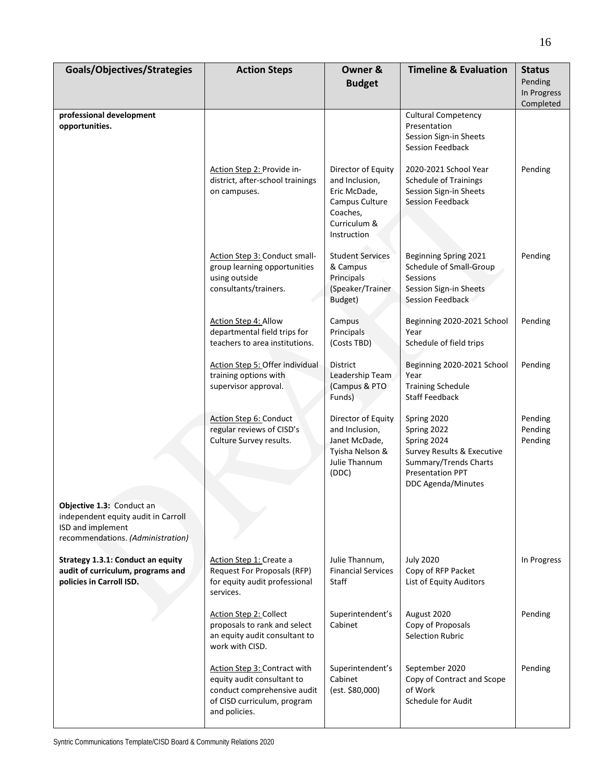| Goals/Objectives/Strategies                                                                                                       | <b>Action Steps</b>                                                                                                                       | Owner &<br><b>Budget</b>                                                                                          | <b>Timeline &amp; Evaluation</b>                                                                                                                  | <b>Status</b><br>Pending<br>In Progress<br>Completed |
|-----------------------------------------------------------------------------------------------------------------------------------|-------------------------------------------------------------------------------------------------------------------------------------------|-------------------------------------------------------------------------------------------------------------------|---------------------------------------------------------------------------------------------------------------------------------------------------|------------------------------------------------------|
| professional development<br>opportunities.                                                                                        |                                                                                                                                           |                                                                                                                   | <b>Cultural Competency</b><br>Presentation<br>Session Sign-in Sheets<br>Session Feedback                                                          |                                                      |
|                                                                                                                                   | Action Step 2: Provide in-<br>district, after-school trainings<br>on campuses.                                                            | Director of Equity<br>and Inclusion,<br>Eric McDade,<br>Campus Culture<br>Coaches,<br>Curriculum &<br>Instruction | 2020-2021 School Year<br><b>Schedule of Trainings</b><br>Session Sign-in Sheets<br><b>Session Feedback</b>                                        | Pending                                              |
|                                                                                                                                   | Action Step 3: Conduct small-<br>group learning opportunities<br>using outside<br>consultants/trainers.                                   | <b>Student Services</b><br>& Campus<br>Principals<br>(Speaker/Trainer<br>Budget)                                  | Beginning Spring 2021<br>Schedule of Small-Group<br>Sessions<br>Session Sign-in Sheets<br>Session Feedback                                        | Pending                                              |
|                                                                                                                                   | Action Step 4: Allow<br>departmental field trips for<br>teachers to area institutions.                                                    | Campus<br>Principals<br>(Costs TBD)                                                                               | Beginning 2020-2021 School<br>Year<br>Schedule of field trips                                                                                     | Pending                                              |
|                                                                                                                                   | Action Step 5: Offer individual<br>training options with<br>supervisor approval.                                                          | District<br>Leadership Team<br>(Campus & PTO<br>Funds)                                                            | Beginning 2020-2021 School<br>Year<br><b>Training Schedule</b><br><b>Staff Feedback</b>                                                           | Pending                                              |
|                                                                                                                                   | Action Step 6: Conduct<br>regular reviews of CISD's<br>Culture Survey results.                                                            | Director of Equity<br>and Inclusion,<br>Janet McDade,<br>Tyisha Nelson &<br>Julie Thannum<br>(DDC)                | Spring 2020<br>Spring 2022<br>Spring 2024<br>Survey Results & Executive<br>Summary/Trends Charts<br><b>Presentation PPT</b><br>DDC Agenda/Minutes | Pending<br>Pending<br>Pending                        |
| <b>Objective 1.3: Conduct an</b><br>independent equity audit in Carroll<br>ISD and implement<br>recommendations. (Administration) |                                                                                                                                           |                                                                                                                   |                                                                                                                                                   |                                                      |
| Strategy 1.3.1: Conduct an equity<br>audit of curriculum, programs and<br>policies in Carroll ISD.                                | Action Step 1: Create a<br>Request For Proposals (RFP)<br>for equity audit professional<br>services.                                      | Julie Thannum,<br><b>Financial Services</b><br>Staff                                                              | <b>July 2020</b><br>Copy of RFP Packet<br>List of Equity Auditors                                                                                 | In Progress                                          |
|                                                                                                                                   | <b>Action Step 2: Collect</b><br>proposals to rank and select<br>an equity audit consultant to<br>work with CISD.                         | Superintendent's<br>Cabinet                                                                                       | August 2020<br>Copy of Proposals<br>Selection Rubric                                                                                              | Pending                                              |
|                                                                                                                                   | Action Step 3: Contract with<br>equity audit consultant to<br>conduct comprehensive audit<br>of CISD curriculum, program<br>and policies. | Superintendent's<br>Cabinet<br>(est. \$80,000)                                                                    | September 2020<br>Copy of Contract and Scope<br>of Work<br><b>Schedule for Audit</b>                                                              | Pending                                              |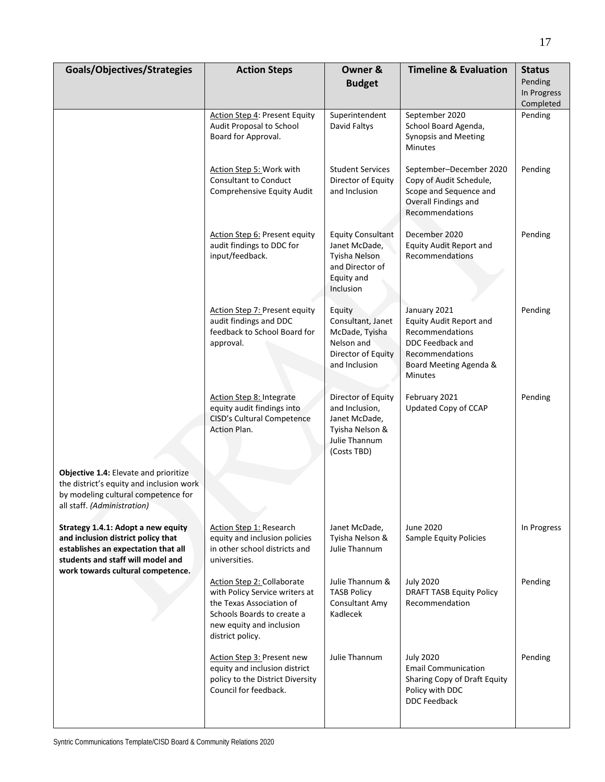| Goals/Objectives/Strategies                                                                                                                                                               | <b>Action Steps</b>                                                                                                                                                           | Owner &<br><b>Budget</b>                                                                                 | <b>Timeline &amp; Evaluation</b>                                                                                                                     | <b>Status</b><br>Pending |
|-------------------------------------------------------------------------------------------------------------------------------------------------------------------------------------------|-------------------------------------------------------------------------------------------------------------------------------------------------------------------------------|----------------------------------------------------------------------------------------------------------|------------------------------------------------------------------------------------------------------------------------------------------------------|--------------------------|
|                                                                                                                                                                                           |                                                                                                                                                                               |                                                                                                          |                                                                                                                                                      | In Progress<br>Completed |
|                                                                                                                                                                                           | Action Step 4: Present Equity<br>Audit Proposal to School<br>Board for Approval.                                                                                              | Superintendent<br>David Faltys                                                                           | September 2020<br>School Board Agenda,<br>Synopsis and Meeting<br><b>Minutes</b>                                                                     | Pending                  |
|                                                                                                                                                                                           | Action Step 5: Work with<br><b>Consultant to Conduct</b><br>Comprehensive Equity Audit                                                                                        | <b>Student Services</b><br>Director of Equity<br>and Inclusion                                           | September-December 2020<br>Copy of Audit Schedule,<br>Scope and Sequence and<br>Overall Findings and<br>Recommendations                              | Pending                  |
|                                                                                                                                                                                           | Action Step 6: Present equity<br>audit findings to DDC for<br>input/feedback.                                                                                                 | <b>Equity Consultant</b><br>Janet McDade,<br>Tyisha Nelson<br>and Director of<br>Equity and<br>Inclusion | December 2020<br><b>Equity Audit Report and</b><br>Recommendations                                                                                   | Pending                  |
|                                                                                                                                                                                           | <b>Action Step 7: Present equity</b><br>audit findings and DDC<br>feedback to School Board for<br>approval.                                                                   | Equity<br>Consultant, Janet<br>McDade, Tyisha<br>Nelson and<br>Director of Equity<br>and Inclusion       | January 2021<br><b>Equity Audit Report and</b><br>Recommendations<br>DDC Feedback and<br>Recommendations<br>Board Meeting Agenda &<br><b>Minutes</b> | Pending                  |
|                                                                                                                                                                                           | Action Step 8: Integrate<br>equity audit findings into<br>CISD's Cultural Competence<br>Action Plan.                                                                          | Director of Equity<br>and Inclusion,<br>Janet McDade,<br>Tyisha Nelson &<br>Julie Thannum<br>(Costs TBD) | February 2021<br><b>Updated Copy of CCAP</b>                                                                                                         | Pending                  |
| Objective 1.4: Elevate and prioritize<br>the district's equity and inclusion work<br>by modeling cultural competence for<br>all staff. (Administration)                                   |                                                                                                                                                                               |                                                                                                          |                                                                                                                                                      |                          |
| Strategy 1.4.1: Adopt a new equity<br>and inclusion district policy that<br>establishes an expectation that all<br>students and staff will model and<br>work towards cultural competence. | <b>Action Step 1: Research</b><br>equity and inclusion policies<br>in other school districts and<br>universities.                                                             | Janet McDade,<br>Tyisha Nelson &<br>Julie Thannum                                                        | June 2020<br>Sample Equity Policies                                                                                                                  | In Progress              |
|                                                                                                                                                                                           | <b>Action Step 2: Collaborate</b><br>with Policy Service writers at<br>the Texas Association of<br>Schools Boards to create a<br>new equity and inclusion<br>district policy. | Julie Thannum &<br><b>TASB Policy</b><br>Consultant Amy<br>Kadlecek                                      | <b>July 2020</b><br><b>DRAFT TASB Equity Policy</b><br>Recommendation                                                                                | Pending                  |
|                                                                                                                                                                                           | Action Step 3: Present new<br>equity and inclusion district<br>policy to the District Diversity<br>Council for feedback.                                                      | Julie Thannum                                                                                            | <b>July 2020</b><br><b>Email Communication</b><br>Sharing Copy of Draft Equity<br>Policy with DDC<br><b>DDC Feedback</b>                             | Pending                  |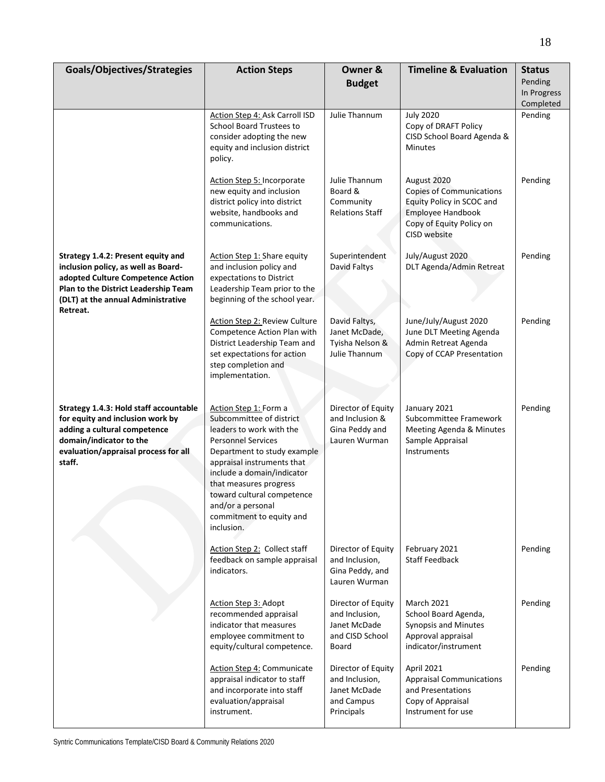| Goals/Objectives/Strategies                                                                                                                                                                  | <b>Action Steps</b>                                                                                                                                                                                                                                                                                                          | Owner &<br><b>Budget</b>                                                         | <b>Timeline &amp; Evaluation</b>                                                                                                             | <b>Status</b><br>Pending<br>In Progress<br>Completed |
|----------------------------------------------------------------------------------------------------------------------------------------------------------------------------------------------|------------------------------------------------------------------------------------------------------------------------------------------------------------------------------------------------------------------------------------------------------------------------------------------------------------------------------|----------------------------------------------------------------------------------|----------------------------------------------------------------------------------------------------------------------------------------------|------------------------------------------------------|
|                                                                                                                                                                                              | Action Step 4: Ask Carroll ISD<br>School Board Trustees to<br>consider adopting the new<br>equity and inclusion district<br>policy.                                                                                                                                                                                          | Julie Thannum                                                                    | <b>July 2020</b><br>Copy of DRAFT Policy<br>CISD School Board Agenda &<br>Minutes                                                            | Pending                                              |
|                                                                                                                                                                                              | Action Step 5: Incorporate<br>new equity and inclusion<br>district policy into district<br>website, handbooks and<br>communications.                                                                                                                                                                                         | Julie Thannum<br>Board &<br>Community<br><b>Relations Staff</b>                  | August 2020<br><b>Copies of Communications</b><br>Equity Policy in SCOC and<br>Employee Handbook<br>Copy of Equity Policy on<br>CISD website | Pending                                              |
| Strategy 1.4.2: Present equity and<br>inclusion policy, as well as Board-<br>adopted Culture Competence Action<br>Plan to the District Leadership Team<br>(DLT) at the annual Administrative | Action Step 1: Share equity<br>and inclusion policy and<br>expectations to District<br>Leadership Team prior to the<br>beginning of the school year.                                                                                                                                                                         | Superintendent<br>David Faltys                                                   | July/August 2020<br>DLT Agenda/Admin Retreat                                                                                                 | Pending                                              |
| Retreat.                                                                                                                                                                                     | Action Step 2: Review Culture<br>Competence Action Plan with<br>District Leadership Team and<br>set expectations for action<br>step completion and<br>implementation.                                                                                                                                                        | David Faltys,<br>Janet McDade,<br>Tyisha Nelson &<br>Julie Thannum               | June/July/August 2020<br>June DLT Meeting Agenda<br>Admin Retreat Agenda<br>Copy of CCAP Presentation                                        | Pending                                              |
| Strategy 1.4.3: Hold staff accountable<br>for equity and inclusion work by<br>adding a cultural competence<br>domain/indicator to the<br>evaluation/appraisal process for all<br>staff.      | Action Step 1: Form a<br>Subcommittee of district<br>leaders to work with the<br><b>Personnel Services</b><br>Department to study example<br>appraisal instruments that<br>include a domain/indicator<br>that measures progress<br>toward cultural competence<br>and/or a personal<br>commitment to equity and<br>inclusion. | Director of Equity<br>and Inclusion &<br>Gina Peddy and<br>Lauren Wurman         | January 2021<br>Subcommittee Framework<br>Meeting Agenda & Minutes<br>Sample Appraisal<br>Instruments                                        | Pending                                              |
|                                                                                                                                                                                              | Action Step 2: Collect staff<br>feedback on sample appraisal<br>indicators.                                                                                                                                                                                                                                                  | Director of Equity<br>and Inclusion,<br>Gina Peddy, and<br>Lauren Wurman         | February 2021<br><b>Staff Feedback</b>                                                                                                       | Pending                                              |
|                                                                                                                                                                                              | Action Step 3: Adopt<br>recommended appraisal<br>indicator that measures<br>employee commitment to<br>equity/cultural competence.                                                                                                                                                                                            | Director of Equity<br>and Inclusion,<br>Janet McDade<br>and CISD School<br>Board | March 2021<br>School Board Agenda,<br>Synopsis and Minutes<br>Approval appraisal<br>indicator/instrument                                     | Pending                                              |
|                                                                                                                                                                                              | Action Step 4: Communicate<br>appraisal indicator to staff<br>and incorporate into staff<br>evaluation/appraisal<br>instrument.                                                                                                                                                                                              | Director of Equity<br>and Inclusion,<br>Janet McDade<br>and Campus<br>Principals | April 2021<br><b>Appraisal Communications</b><br>and Presentations<br>Copy of Appraisal<br>Instrument for use                                | Pending                                              |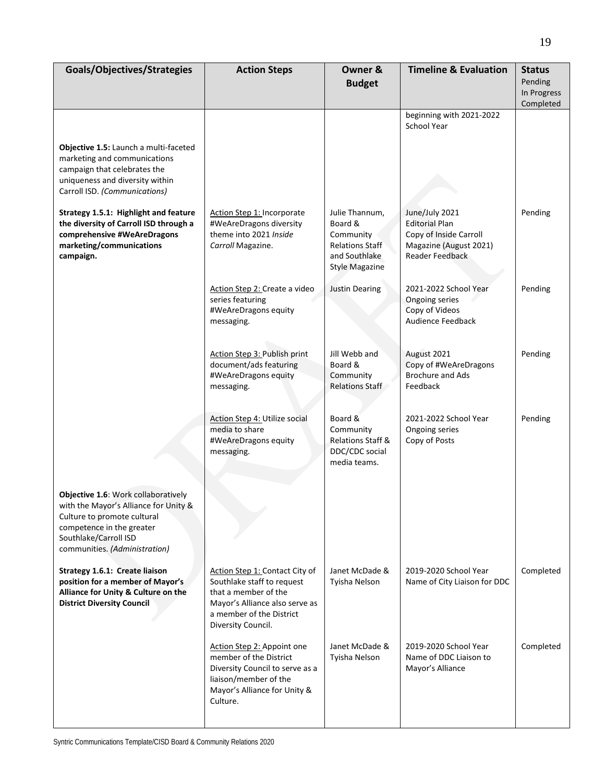| Goals/Objectives/Strategies                                                                                                                                                                        | <b>Action Steps</b>                                                                                                                                                      | Owner &<br><b>Budget</b>                                                                                   | <b>Timeline &amp; Evaluation</b>                                                                               | <b>Status</b><br>Pending<br>In Progress<br>Completed |
|----------------------------------------------------------------------------------------------------------------------------------------------------------------------------------------------------|--------------------------------------------------------------------------------------------------------------------------------------------------------------------------|------------------------------------------------------------------------------------------------------------|----------------------------------------------------------------------------------------------------------------|------------------------------------------------------|
|                                                                                                                                                                                                    |                                                                                                                                                                          |                                                                                                            | beginning with 2021-2022<br>School Year                                                                        |                                                      |
| Objective 1.5: Launch a multi-faceted<br>marketing and communications<br>campaign that celebrates the<br>uniqueness and diversity within<br>Carroll ISD. (Communications)                          |                                                                                                                                                                          |                                                                                                            |                                                                                                                |                                                      |
| Strategy 1.5.1: Highlight and feature<br>the diversity of Carroll ISD through a<br>comprehensive #WeAreDragons<br>marketing/communications<br>campaign.                                            | Action Step 1: Incorporate<br>#WeAreDragons diversity<br>theme into 2021 Inside<br>Carroll Magazine.                                                                     | Julie Thannum,<br>Board &<br>Community<br><b>Relations Staff</b><br>and Southlake<br><b>Style Magazine</b> | June/July 2021<br><b>Editorial Plan</b><br>Copy of Inside Carroll<br>Magazine (August 2021)<br>Reader Feedback | Pending                                              |
|                                                                                                                                                                                                    | Action Step 2: Create a video<br>series featuring<br>#WeAreDragons equity<br>messaging.                                                                                  | <b>Justin Dearing</b>                                                                                      | 2021-2022 School Year<br>Ongoing series<br>Copy of Videos<br>Audience Feedback                                 | Pending                                              |
|                                                                                                                                                                                                    | Action Step 3: Publish print<br>document/ads featuring<br>#WeAreDragons equity<br>messaging.                                                                             | Jill Webb and<br>Board &<br>Community<br><b>Relations Staff</b>                                            | August 2021<br>Copy of #WeAreDragons<br><b>Brochure and Ads</b><br>Feedback                                    | Pending                                              |
|                                                                                                                                                                                                    | Action Step 4: Utilize social<br>media to share<br>#WeAreDragons equity<br>messaging.                                                                                    | Board &<br>Community<br>Relations Staff &<br>DDC/CDC social<br>media teams.                                | 2021-2022 School Year<br>Ongoing series<br>Copy of Posts                                                       | Pending                                              |
| Objective 1.6: Work collaboratively<br>with the Mayor's Alliance for Unity &<br>Culture to promote cultural<br>competence in the greater<br>Southlake/Carroll ISD<br>communities. (Administration) |                                                                                                                                                                          |                                                                                                            |                                                                                                                |                                                      |
| Strategy 1.6.1: Create liaison<br>position for a member of Mayor's<br>Alliance for Unity & Culture on the<br><b>District Diversity Council</b>                                                     | Action Step 1: Contact City of<br>Southlake staff to request<br>that a member of the<br>Mayor's Alliance also serve as<br>a member of the District<br>Diversity Council. | Janet McDade &<br>Tyisha Nelson                                                                            | 2019-2020 School Year<br>Name of City Liaison for DDC                                                          | Completed                                            |
|                                                                                                                                                                                                    | Action Step 2: Appoint one<br>member of the District<br>Diversity Council to serve as a<br>liaison/member of the<br>Mayor's Alliance for Unity &<br>Culture.             | Janet McDade &<br>Tyisha Nelson                                                                            | 2019-2020 School Year<br>Name of DDC Liaison to<br>Mayor's Alliance                                            | Completed                                            |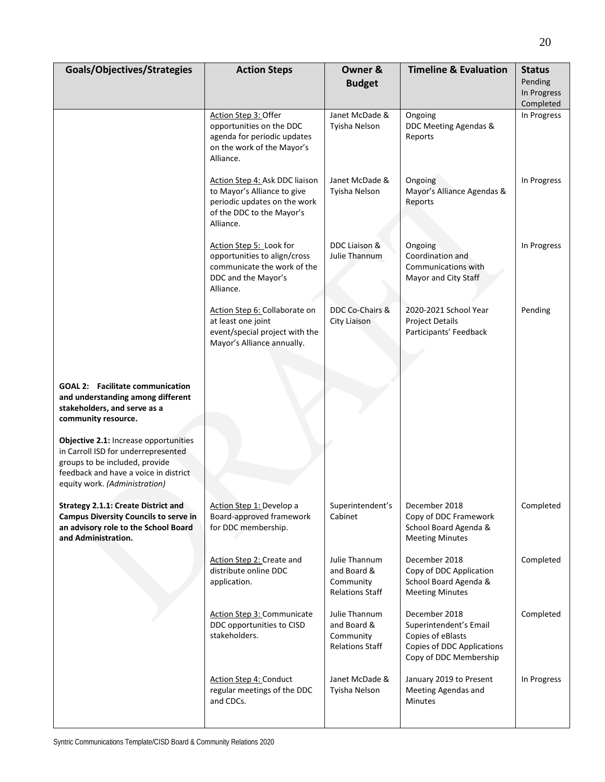| Goals/Objectives/Strategies                                                                                                                                                              | <b>Action Steps</b>                                                                                                                     | Owner &                                                             | <b>Timeline &amp; Evaluation</b>                                                                                     | <b>Status</b><br>Pending |
|------------------------------------------------------------------------------------------------------------------------------------------------------------------------------------------|-----------------------------------------------------------------------------------------------------------------------------------------|---------------------------------------------------------------------|----------------------------------------------------------------------------------------------------------------------|--------------------------|
|                                                                                                                                                                                          |                                                                                                                                         | <b>Budget</b>                                                       |                                                                                                                      | In Progress<br>Completed |
|                                                                                                                                                                                          | Action Step 3: Offer<br>opportunities on the DDC<br>agenda for periodic updates<br>on the work of the Mayor's<br>Alliance.              | Janet McDade &<br>Tyisha Nelson                                     | Ongoing<br>DDC Meeting Agendas &<br>Reports                                                                          | In Progress              |
|                                                                                                                                                                                          | Action Step 4: Ask DDC liaison<br>to Mayor's Alliance to give<br>periodic updates on the work<br>of the DDC to the Mayor's<br>Alliance. | Janet McDade &<br>Tyisha Nelson                                     | Ongoing<br>Mayor's Alliance Agendas &<br>Reports                                                                     | In Progress              |
|                                                                                                                                                                                          | Action Step 5: Look for<br>opportunities to align/cross<br>communicate the work of the<br>DDC and the Mayor's<br>Alliance.              | DDC Liaison &<br>Julie Thannum                                      | Ongoing<br>Coordination and<br>Communications with<br>Mayor and City Staff                                           | In Progress              |
|                                                                                                                                                                                          | Action Step 6: Collaborate on<br>at least one joint<br>event/special project with the<br>Mayor's Alliance annually.                     | DDC Co-Chairs &<br><b>City Liaison</b>                              | 2020-2021 School Year<br><b>Project Details</b><br>Participants' Feedback                                            | Pending                  |
| <b>GOAL 2: Facilitate communication</b><br>and understanding among different<br>stakeholders, and serve as a<br>community resource.                                                      |                                                                                                                                         |                                                                     |                                                                                                                      |                          |
| Objective 2.1: Increase opportunities<br>in Carroll ISD for underrepresented<br>groups to be included, provide<br>feedback and have a voice in district<br>equity work. (Administration) |                                                                                                                                         |                                                                     |                                                                                                                      |                          |
| <b>Strategy 2.1.1: Create District and</b><br><b>Campus Diversity Councils to serve in</b><br>an advisory role to the School Board<br>and Administration.                                | Action Step 1: Develop a<br>Board-approved framework<br>for DDC membership.                                                             | Superintendent's<br>Cabinet                                         | December 2018<br>Copy of DDC Framework<br>School Board Agenda &<br><b>Meeting Minutes</b>                            | Completed                |
|                                                                                                                                                                                          | Action Step 2: Create and<br>distribute online DDC<br>application.                                                                      | Julie Thannum<br>and Board &<br>Community<br><b>Relations Staff</b> | December 2018<br>Copy of DDC Application<br>School Board Agenda &<br><b>Meeting Minutes</b>                          | Completed                |
|                                                                                                                                                                                          | Action Step 3: Communicate<br>DDC opportunities to CISD<br>stakeholders.                                                                | Julie Thannum<br>and Board &<br>Community<br><b>Relations Staff</b> | December 2018<br>Superintendent's Email<br>Copies of eBlasts<br>Copies of DDC Applications<br>Copy of DDC Membership | Completed                |
|                                                                                                                                                                                          | Action Step 4: Conduct<br>regular meetings of the DDC<br>and CDCs.                                                                      | Janet McDade &<br>Tyisha Nelson                                     | January 2019 to Present<br>Meeting Agendas and<br><b>Minutes</b>                                                     | In Progress              |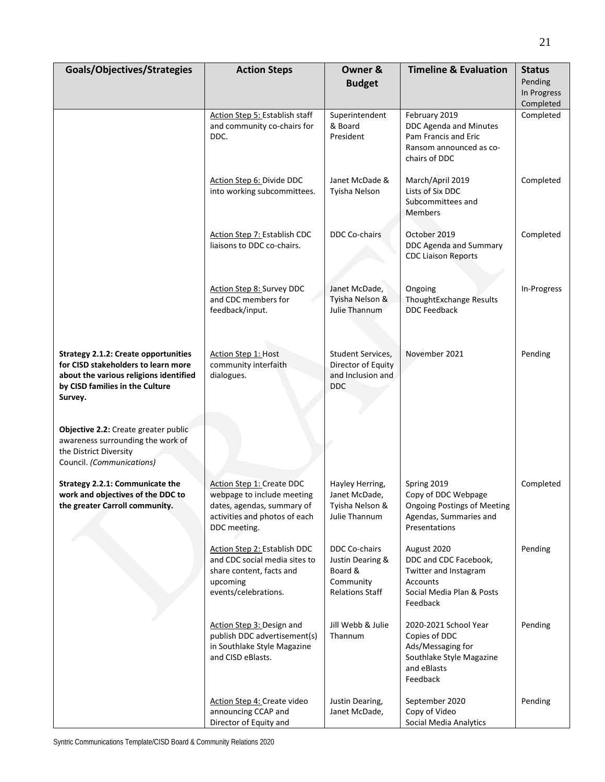| Goals/Objectives/Strategies                                                                                                                                                | <b>Action Steps</b>                                                                                                                    | Owner &<br><b>Budget</b>                                                                   | <b>Timeline &amp; Evaluation</b>                                                                                          | <b>Status</b><br>Pending |
|----------------------------------------------------------------------------------------------------------------------------------------------------------------------------|----------------------------------------------------------------------------------------------------------------------------------------|--------------------------------------------------------------------------------------------|---------------------------------------------------------------------------------------------------------------------------|--------------------------|
|                                                                                                                                                                            |                                                                                                                                        |                                                                                            |                                                                                                                           | In Progress<br>Completed |
|                                                                                                                                                                            | Action Step 5: Establish staff<br>and community co-chairs for<br>DDC.                                                                  | Superintendent<br>& Board<br>President                                                     | February 2019<br>DDC Agenda and Minutes<br>Pam Francis and Eric<br>Ransom announced as co-<br>chairs of DDC               | Completed                |
|                                                                                                                                                                            | Action Step 6: Divide DDC<br>into working subcommittees.                                                                               | Janet McDade &<br>Tyisha Nelson                                                            | March/April 2019<br>Lists of Six DDC<br>Subcommittees and<br><b>Members</b>                                               | Completed                |
|                                                                                                                                                                            | Action Step 7: Establish CDC<br>liaisons to DDC co-chairs.                                                                             | DDC Co-chairs                                                                              | October 2019<br>DDC Agenda and Summary<br><b>CDC Liaison Reports</b>                                                      | Completed                |
|                                                                                                                                                                            | Action Step 8: Survey DDC<br>and CDC members for<br>feedback/input.                                                                    | Janet McDade,<br>Tyisha Nelson &<br>Julie Thannum                                          | Ongoing<br>ThoughtExchange Results<br><b>DDC Feedback</b>                                                                 | In-Progress              |
| <b>Strategy 2.1.2: Create opportunities</b><br>for CISD stakeholders to learn more<br>about the various religions identified<br>by CISD families in the Culture<br>Survey. | Action Step 1: Host<br>community interfaith<br>dialogues.                                                                              | Student Services,<br>Director of Equity<br>and Inclusion and<br><b>DDC</b>                 | November 2021                                                                                                             | Pending                  |
| Objective 2.2: Create greater public<br>awareness surrounding the work of<br>the District Diversity<br>Council. (Communications)                                           |                                                                                                                                        |                                                                                            |                                                                                                                           |                          |
| Strategy 2.2.1: Communicate the<br>work and objectives of the DDC to<br>the greater Carroll community.                                                                     | Action Step 1: Create DDC<br>webpage to include meeting<br>dates, agendas, summary of<br>activities and photos of each<br>DDC meeting. | Hayley Herring,<br>Janet McDade,<br>Tyisha Nelson &<br>Julie Thannum                       | Spring 2019<br>Copy of DDC Webpage<br><b>Ongoing Postings of Meeting</b><br>Agendas, Summaries and<br>Presentations       | Completed                |
|                                                                                                                                                                            | Action Step 2: Establish DDC<br>and CDC social media sites to<br>share content, facts and<br>upcoming<br>events/celebrations.          | <b>DDC Co-chairs</b><br>Justin Dearing &<br>Board &<br>Community<br><b>Relations Staff</b> | August 2020<br>DDC and CDC Facebook,<br>Twitter and Instagram<br><b>Accounts</b><br>Social Media Plan & Posts<br>Feedback | Pending                  |
|                                                                                                                                                                            | Action Step 3: Design and<br>publish DDC advertisement(s)<br>in Southlake Style Magazine<br>and CISD eBlasts.                          | Jill Webb & Julie<br>Thannum                                                               | 2020-2021 School Year<br>Copies of DDC<br>Ads/Messaging for<br>Southlake Style Magazine<br>and eBlasts<br>Feedback        | Pending                  |
|                                                                                                                                                                            | Action Step 4: Create video<br>announcing CCAP and<br>Director of Equity and                                                           | Justin Dearing,<br>Janet McDade,                                                           | September 2020<br>Copy of Video<br>Social Media Analytics                                                                 | Pending                  |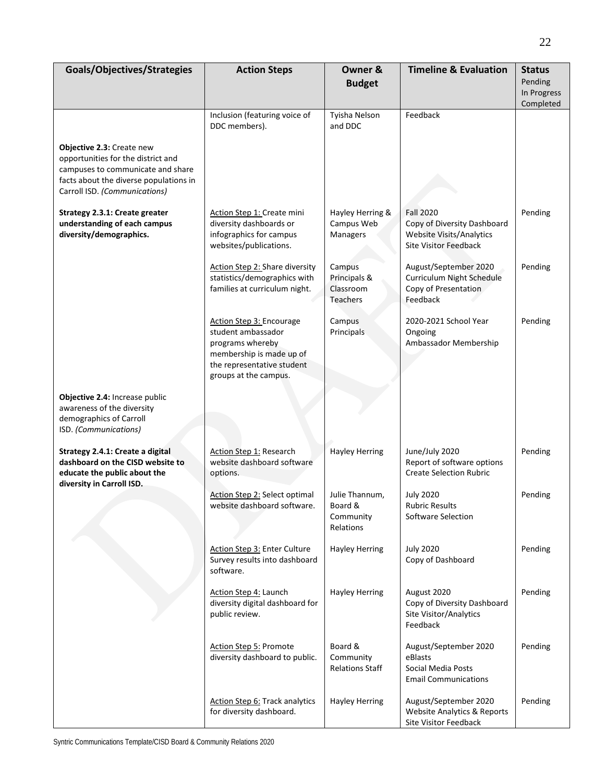| Goals/Objectives/Strategies                                                                                                                                                     | <b>Action Steps</b>                                                                                                                                   | Owner &<br><b>Budget</b>                            | <b>Timeline &amp; Evaluation</b>                                                                            | <b>Status</b><br>Pending<br>In Progress<br>Completed |
|---------------------------------------------------------------------------------------------------------------------------------------------------------------------------------|-------------------------------------------------------------------------------------------------------------------------------------------------------|-----------------------------------------------------|-------------------------------------------------------------------------------------------------------------|------------------------------------------------------|
|                                                                                                                                                                                 | Inclusion (featuring voice of<br>DDC members).                                                                                                        | Tyisha Nelson<br>and DDC                            | Feedback                                                                                                    |                                                      |
| Objective 2.3: Create new<br>opportunities for the district and<br>campuses to communicate and share<br>facts about the diverse populations in<br>Carroll ISD. (Communications) |                                                                                                                                                       |                                                     |                                                                                                             |                                                      |
| Strategy 2.3.1: Create greater<br>understanding of each campus<br>diversity/demographics.                                                                                       | Action Step 1: Create mini<br>diversity dashboards or<br>infographics for campus<br>websites/publications.                                            | Hayley Herring &<br>Campus Web<br>Managers          | <b>Fall 2020</b><br>Copy of Diversity Dashboard<br>Website Visits/Analytics<br><b>Site Visitor Feedback</b> | Pending                                              |
|                                                                                                                                                                                 | <b>Action Step 2: Share diversity</b><br>statistics/demographics with<br>families at curriculum night.                                                | Campus<br>Principals &<br>Classroom<br>Teachers     | August/September 2020<br>Curriculum Night Schedule<br>Copy of Presentation<br>Feedback                      | Pending                                              |
|                                                                                                                                                                                 | Action Step 3: Encourage<br>student ambassador<br>programs whereby<br>membership is made up of<br>the representative student<br>groups at the campus. | Campus<br>Principals                                | 2020-2021 School Year<br>Ongoing<br>Ambassador Membership                                                   | Pending                                              |
| Objective 2.4: Increase public<br>awareness of the diversity<br>demographics of Carroll<br>ISD. (Communications)                                                                |                                                                                                                                                       |                                                     |                                                                                                             |                                                      |
| Strategy 2.4.1: Create a digital<br>dashboard on the CISD website to<br>educate the public about the<br>diversity in Carroll ISD.                                               | <b>Action Step 1: Research</b><br>website dashboard software<br>options.                                                                              | <b>Hayley Herring</b>                               | June/July 2020<br>Report of software options<br><b>Create Selection Rubric</b>                              | Pending                                              |
|                                                                                                                                                                                 | Action Step 2: Select optimal<br>website dashboard software.                                                                                          | Julie Thannum,<br>Board &<br>Community<br>Relations | <b>July 2020</b><br>Rubric Results<br>Software Selection                                                    | Pending                                              |
|                                                                                                                                                                                 | Action Step 3: Enter Culture<br>Survey results into dashboard<br>software.                                                                            | <b>Hayley Herring</b>                               | <b>July 2020</b><br>Copy of Dashboard                                                                       | Pending                                              |
|                                                                                                                                                                                 | <b>Action Step 4: Launch</b><br>diversity digital dashboard for<br>public review.                                                                     | <b>Hayley Herring</b>                               | August 2020<br>Copy of Diversity Dashboard<br>Site Visitor/Analytics<br>Feedback                            | Pending                                              |
|                                                                                                                                                                                 | Action Step 5: Promote<br>diversity dashboard to public.                                                                                              | Board &<br>Community<br><b>Relations Staff</b>      | August/September 2020<br>eBlasts<br>Social Media Posts<br><b>Email Communications</b>                       | Pending                                              |
|                                                                                                                                                                                 | <b>Action Step 6: Track analytics</b><br>for diversity dashboard.                                                                                     | <b>Hayley Herring</b>                               | August/September 2020<br><b>Website Analytics &amp; Reports</b><br>Site Visitor Feedback                    | Pending                                              |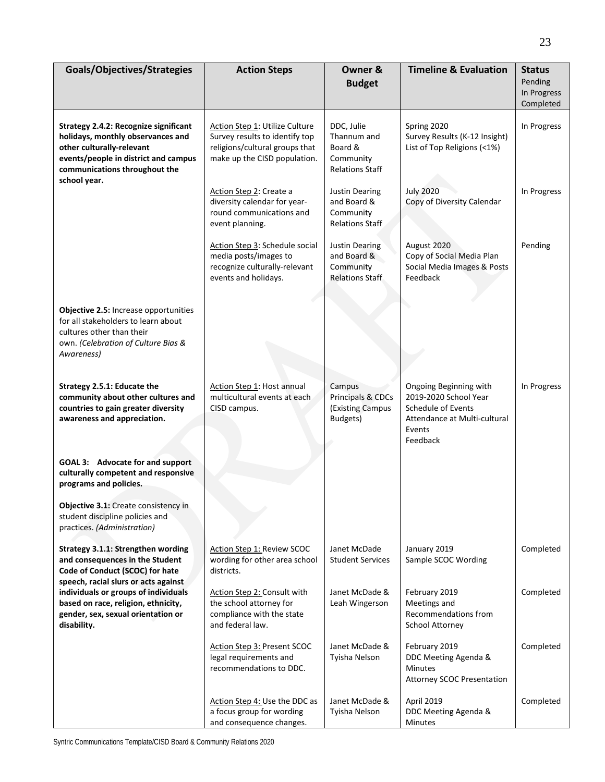| Goals/Objectives/Strategies                                                                                                                                                                             | <b>Action Steps</b>                                                                                                                       | Owner &<br><b>Budget</b>                                                    | <b>Timeline &amp; Evaluation</b>                                                                                            | <b>Status</b><br>Pending<br>In Progress<br>Completed |
|---------------------------------------------------------------------------------------------------------------------------------------------------------------------------------------------------------|-------------------------------------------------------------------------------------------------------------------------------------------|-----------------------------------------------------------------------------|-----------------------------------------------------------------------------------------------------------------------------|------------------------------------------------------|
| <b>Strategy 2.4.2: Recognize significant</b><br>holidays, monthly observances and<br>other culturally-relevant<br>events/people in district and campus<br>communications throughout the<br>school year. | <b>Action Step 1: Utilize Culture</b><br>Survey results to identify top<br>religions/cultural groups that<br>make up the CISD population. | DDC, Julie<br>Thannum and<br>Board &<br>Community<br><b>Relations Staff</b> | Spring 2020<br>Survey Results (K-12 Insight)<br>List of Top Religions (<1%)                                                 | In Progress                                          |
|                                                                                                                                                                                                         | Action Step 2: Create a<br>diversity calendar for year-<br>round communications and<br>event planning.                                    | <b>Justin Dearing</b><br>and Board &<br>Community<br><b>Relations Staff</b> | <b>July 2020</b><br>Copy of Diversity Calendar                                                                              | In Progress                                          |
|                                                                                                                                                                                                         | Action Step 3: Schedule social<br>media posts/images to<br>recognize culturally-relevant<br>events and holidays.                          | Justin Dearing<br>and Board &<br>Community<br><b>Relations Staff</b>        | August 2020<br>Copy of Social Media Plan<br>Social Media Images & Posts<br>Feedback                                         | Pending                                              |
| Objective 2.5: Increase opportunities<br>for all stakeholders to learn about<br>cultures other than their<br>own. (Celebration of Culture Bias &<br>Awareness)                                          |                                                                                                                                           |                                                                             |                                                                                                                             |                                                      |
| Strategy 2.5.1: Educate the<br>community about other cultures and<br>countries to gain greater diversity<br>awareness and appreciation.                                                                 | Action Step 1: Host annual<br>multicultural events at each<br>CISD campus.                                                                | Campus<br>Principals & CDCs<br>(Existing Campus<br>Budgets)                 | Ongoing Beginning with<br>2019-2020 School Year<br>Schedule of Events<br>Attendance at Multi-cultural<br>Events<br>Feedback | In Progress                                          |
| GOAL 3: Advocate for and support<br>culturally competent and responsive<br>programs and policies.                                                                                                       |                                                                                                                                           |                                                                             |                                                                                                                             |                                                      |
| <b>Objective 3.1:</b> Create consistency in<br>student discipline policies and<br>practices. (Administration)                                                                                           |                                                                                                                                           |                                                                             |                                                                                                                             |                                                      |
| Strategy 3.1.1: Strengthen wording<br>and consequences in the Student<br>Code of Conduct (SCOC) for hate<br>speech, racial slurs or acts against                                                        | Action Step 1: Review SCOC<br>wording for other area school<br>districts.                                                                 | Janet McDade<br><b>Student Services</b>                                     | January 2019<br>Sample SCOC Wording                                                                                         | Completed                                            |
| individuals or groups of individuals<br>based on race, religion, ethnicity,<br>gender, sex, sexual orientation or<br>disability.                                                                        | Action Step 2: Consult with<br>the school attorney for<br>compliance with the state<br>and federal law.                                   | Janet McDade &<br>Leah Wingerson                                            | February 2019<br>Meetings and<br>Recommendations from<br>School Attorney                                                    | Completed                                            |
|                                                                                                                                                                                                         | Action Step 3: Present SCOC<br>legal requirements and<br>recommendations to DDC.                                                          | Janet McDade &<br>Tyisha Nelson                                             | February 2019<br>DDC Meeting Agenda &<br><b>Minutes</b><br><b>Attorney SCOC Presentation</b>                                | Completed                                            |
|                                                                                                                                                                                                         | Action Step 4: Use the DDC as<br>a focus group for wording<br>and consequence changes.                                                    | Janet McDade &<br>Tyisha Nelson                                             | April 2019<br>DDC Meeting Agenda &<br>Minutes                                                                               | Completed                                            |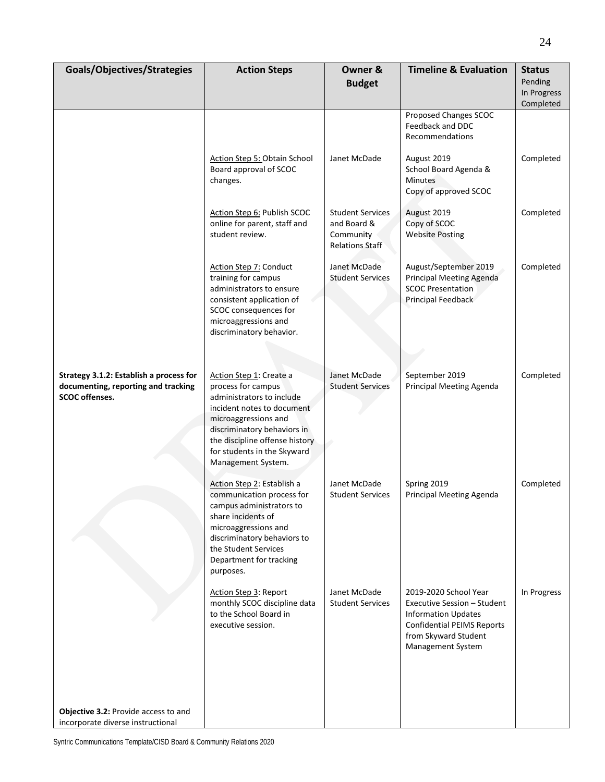| Goals/Objectives/Strategies                                                                             | <b>Action Steps</b>                                                                                                                                                                                                                                    | Owner &<br><b>Budget</b>                                                      | <b>Timeline &amp; Evaluation</b>                                                                                                                                     | <b>Status</b><br>Pending |
|---------------------------------------------------------------------------------------------------------|--------------------------------------------------------------------------------------------------------------------------------------------------------------------------------------------------------------------------------------------------------|-------------------------------------------------------------------------------|----------------------------------------------------------------------------------------------------------------------------------------------------------------------|--------------------------|
|                                                                                                         |                                                                                                                                                                                                                                                        |                                                                               |                                                                                                                                                                      | In Progress<br>Completed |
|                                                                                                         |                                                                                                                                                                                                                                                        |                                                                               | Proposed Changes SCOC<br>Feedback and DDC<br>Recommendations                                                                                                         |                          |
|                                                                                                         | Action Step 5: Obtain School<br>Board approval of SCOC<br>changes.                                                                                                                                                                                     | Janet McDade                                                                  | August 2019<br>School Board Agenda &<br><b>Minutes</b><br>Copy of approved SCOC                                                                                      | Completed                |
|                                                                                                         | Action Step 6: Publish SCOC<br>online for parent, staff and<br>student review.                                                                                                                                                                         | <b>Student Services</b><br>and Board &<br>Community<br><b>Relations Staff</b> | August 2019<br>Copy of SCOC<br><b>Website Posting</b>                                                                                                                | Completed                |
|                                                                                                         | <b>Action Step 7: Conduct</b><br>training for campus<br>administrators to ensure<br>consistent application of<br>SCOC consequences for<br>microaggressions and<br>discriminatory behavior.                                                             | Janet McDade<br><b>Student Services</b>                                       | August/September 2019<br><b>Principal Meeting Agenda</b><br><b>SCOC Presentation</b><br>Principal Feedback                                                           | Completed                |
|                                                                                                         |                                                                                                                                                                                                                                                        |                                                                               |                                                                                                                                                                      |                          |
| Strategy 3.1.2: Establish a process for<br>documenting, reporting and tracking<br><b>SCOC</b> offenses. | Action Step 1: Create a<br>process for campus<br>administrators to include<br>incident notes to document<br>microaggressions and<br>discriminatory behaviors in<br>the discipline offense history<br>for students in the Skyward<br>Management System. | Janet McDade<br><b>Student Services</b>                                       | September 2019<br>Principal Meeting Agenda                                                                                                                           | Completed                |
|                                                                                                         | Action Step 2: Establish a<br>communication process for<br>campus administrators to<br>share incidents of<br>microaggressions and<br>discriminatory behaviors to<br>the Student Services<br>Department for tracking<br>purposes.                       | Janet McDade<br><b>Student Services</b>                                       | Spring 2019<br>Principal Meeting Agenda                                                                                                                              | Completed                |
|                                                                                                         | Action Step 3: Report<br>monthly SCOC discipline data<br>to the School Board in<br>executive session.                                                                                                                                                  | Janet McDade<br><b>Student Services</b>                                       | 2019-2020 School Year<br>Executive Session - Student<br><b>Information Updates</b><br><b>Confidential PEIMS Reports</b><br>from Skyward Student<br>Management System | In Progress              |
|                                                                                                         |                                                                                                                                                                                                                                                        |                                                                               |                                                                                                                                                                      |                          |
| Objective 3.2: Provide access to and<br>incorporate diverse instructional                               |                                                                                                                                                                                                                                                        |                                                                               |                                                                                                                                                                      |                          |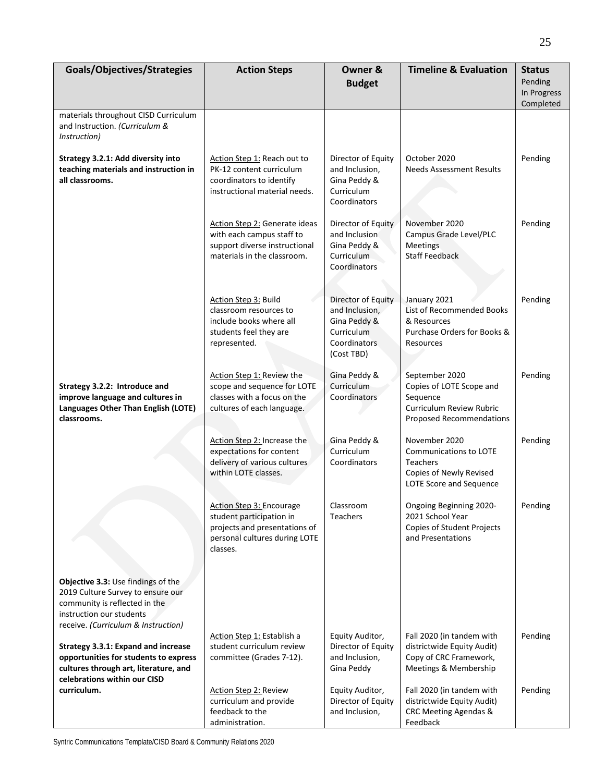| Goals/Objectives/Strategies                                                                                                                                                                  | <b>Action Steps</b>                                                                                                                       | Owner &                                                                                                 | <b>Timeline &amp; Evaluation</b>                                                                                      | <b>Status</b><br>Pending |
|----------------------------------------------------------------------------------------------------------------------------------------------------------------------------------------------|-------------------------------------------------------------------------------------------------------------------------------------------|---------------------------------------------------------------------------------------------------------|-----------------------------------------------------------------------------------------------------------------------|--------------------------|
|                                                                                                                                                                                              |                                                                                                                                           | <b>Budget</b>                                                                                           |                                                                                                                       | In Progress<br>Completed |
| materials throughout CISD Curriculum<br>and Instruction. (Curriculum &<br>Instruction)                                                                                                       |                                                                                                                                           |                                                                                                         |                                                                                                                       |                          |
| Strategy 3.2.1: Add diversity into<br>teaching materials and instruction in<br>all classrooms.                                                                                               | Action Step 1: Reach out to<br>PK-12 content curriculum<br>coordinators to identify<br>instructional material needs.                      | Director of Equity<br>and Inclusion,<br>Gina Peddy &<br>Curriculum<br>Coordinators                      | October 2020<br><b>Needs Assessment Results</b>                                                                       | Pending                  |
|                                                                                                                                                                                              | Action Step 2: Generate ideas<br>with each campus staff to<br>support diverse instructional<br>materials in the classroom.                | Director of Equity<br>and Inclusion<br>Gina Peddy &<br>Curriculum<br>Coordinators                       | November 2020<br>Campus Grade Level/PLC<br><b>Meetings</b><br><b>Staff Feedback</b>                                   | Pending                  |
|                                                                                                                                                                                              | Action Step 3: Build<br>classroom resources to<br>include books where all<br>students feel they are<br>represented.                       | Director of Equity<br>and Inclusion,<br>Gina Peddy &<br>Curriculum<br><b>Coordinators</b><br>(Cost TBD) | January 2021<br><b>List of Recommended Books</b><br>& Resources<br>Purchase Orders for Books &<br>Resources           | Pending                  |
| Strategy 3.2.2: Introduce and<br>improve language and cultures in<br>Languages Other Than English (LOTE)<br>classrooms.                                                                      | Action Step 1: Review the<br>scope and sequence for LOTE<br>classes with a focus on the<br>cultures of each language.                     | Gina Peddy &<br>Curriculum<br>Coordinators                                                              | September 2020<br>Copies of LOTE Scope and<br>Sequence<br>Curriculum Review Rubric<br><b>Proposed Recommendations</b> | Pending                  |
|                                                                                                                                                                                              | Action Step 2: Increase the<br>expectations for content<br>delivery of various cultures<br>within LOTE classes.                           | Gina Peddy &<br>Curriculum<br>Coordinators                                                              | November 2020<br><b>Communications to LOTE</b><br>Teachers<br>Copies of Newly Revised<br>LOTE Score and Sequence      | Pending                  |
|                                                                                                                                                                                              | <b>Action Step 3: Encourage</b><br>student participation in<br>projects and presentations of<br>personal cultures during LOTE<br>classes. | Classroom<br>Teachers                                                                                   | Ongoing Beginning 2020-<br>2021 School Year<br>Copies of Student Projects<br>and Presentations                        | Pending                  |
| Objective 3.3: Use findings of the<br>2019 Culture Survey to ensure our<br>community is reflected in the<br>instruction our students                                                         |                                                                                                                                           |                                                                                                         |                                                                                                                       |                          |
| receive. (Curriculum & Instruction)<br>Strategy 3.3.1: Expand and increase<br>opportunities for students to express<br>cultures through art, literature, and<br>celebrations within our CISD | Action Step 1: Establish a<br>student curriculum review<br>committee (Grades 7-12).                                                       | Equity Auditor,<br>Director of Equity<br>and Inclusion,<br>Gina Peddy                                   | Fall 2020 (in tandem with<br>districtwide Equity Audit)<br>Copy of CRC Framework,<br>Meetings & Membership            | Pending                  |
| curriculum.                                                                                                                                                                                  | Action Step 2: Review<br>curriculum and provide<br>feedback to the<br>administration.                                                     | Equity Auditor,<br>Director of Equity<br>and Inclusion,                                                 | Fall 2020 (in tandem with<br>districtwide Equity Audit)<br>CRC Meeting Agendas &<br>Feedback                          | Pending                  |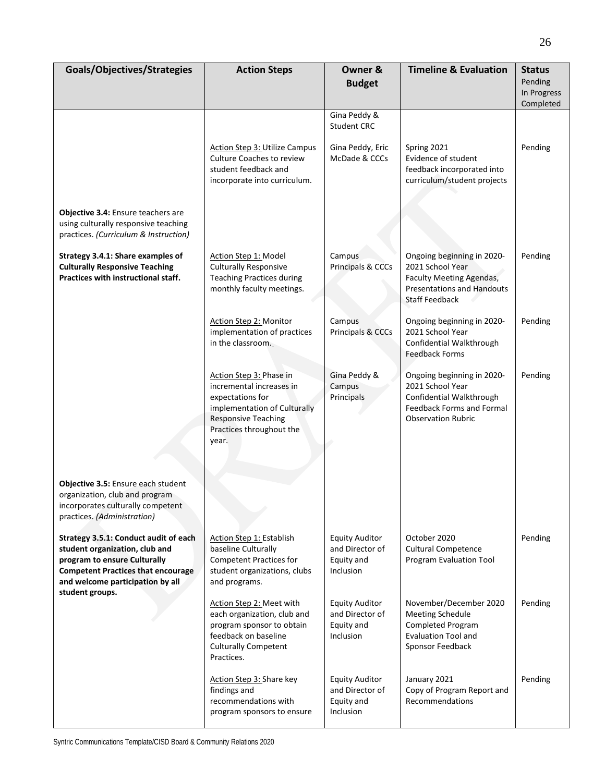| Goals/Objectives/Strategies                                                                                                                                                                                 | <b>Action Steps</b>                                                                                                                                                        | Owner &<br><b>Budget</b>                                            | <b>Timeline &amp; Evaluation</b>                                                                                                         | <b>Status</b><br>Pending<br>In Progress<br>Completed |
|-------------------------------------------------------------------------------------------------------------------------------------------------------------------------------------------------------------|----------------------------------------------------------------------------------------------------------------------------------------------------------------------------|---------------------------------------------------------------------|------------------------------------------------------------------------------------------------------------------------------------------|------------------------------------------------------|
|                                                                                                                                                                                                             |                                                                                                                                                                            | Gina Peddy &<br><b>Student CRC</b>                                  |                                                                                                                                          |                                                      |
|                                                                                                                                                                                                             | <b>Action Step 3: Utilize Campus</b><br>Culture Coaches to review<br>student feedback and<br>incorporate into curriculum.                                                  | Gina Peddy, Eric<br>McDade & CCCs                                   | Spring 2021<br>Evidence of student<br>feedback incorporated into<br>curriculum/student projects                                          | Pending                                              |
| Objective 3.4: Ensure teachers are<br>using culturally responsive teaching<br>practices. (Curriculum & Instruction)                                                                                         |                                                                                                                                                                            |                                                                     |                                                                                                                                          |                                                      |
| Strategy 3.4.1: Share examples of<br><b>Culturally Responsive Teaching</b><br>Practices with instructional staff.                                                                                           | Action Step 1: Model<br><b>Culturally Responsive</b><br><b>Teaching Practices during</b><br>monthly faculty meetings.                                                      | Campus<br>Principals & CCCs                                         | Ongoing beginning in 2020-<br>2021 School Year<br>Faculty Meeting Agendas,<br><b>Presentations and Handouts</b><br><b>Staff Feedback</b> | Pending                                              |
|                                                                                                                                                                                                             | Action Step 2: Monitor<br>implementation of practices<br>in the classroom.                                                                                                 | Campus<br>Principals & CCCs                                         | Ongoing beginning in 2020-<br>2021 School Year<br>Confidential Walkthrough<br><b>Feedback Forms</b>                                      | Pending                                              |
|                                                                                                                                                                                                             | Action Step 3: Phase in<br>incremental increases in<br>expectations for<br>implementation of Culturally<br><b>Responsive Teaching</b><br>Practices throughout the<br>year. | Gina Peddy &<br>Campus<br>Principals                                | Ongoing beginning in 2020-<br>2021 School Year<br>Confidential Walkthrough<br>Feedback Forms and Formal<br><b>Observation Rubric</b>     | Pending                                              |
| Objective 3.5: Ensure each student<br>organization, club and program<br>incorporates culturally competent<br>practices. (Administration)                                                                    |                                                                                                                                                                            |                                                                     |                                                                                                                                          |                                                      |
| Strategy 3.5.1: Conduct audit of each<br>student organization, club and<br>program to ensure Culturally<br><b>Competent Practices that encourage</b><br>and welcome participation by all<br>student groups. | <b>Action Step 1: Establish</b><br>baseline Culturally<br><b>Competent Practices for</b><br>student organizations, clubs<br>and programs.                                  | <b>Equity Auditor</b><br>and Director of<br>Equity and<br>Inclusion | October 2020<br><b>Cultural Competence</b><br>Program Evaluation Tool                                                                    | Pending                                              |
|                                                                                                                                                                                                             | Action Step 2: Meet with<br>each organization, club and<br>program sponsor to obtain<br>feedback on baseline<br><b>Culturally Competent</b><br>Practices.                  | <b>Equity Auditor</b><br>and Director of<br>Equity and<br>Inclusion | November/December 2020<br><b>Meeting Schedule</b><br><b>Completed Program</b><br><b>Evaluation Tool and</b><br>Sponsor Feedback          | Pending                                              |
|                                                                                                                                                                                                             | Action Step 3: Share key<br>findings and<br>recommendations with<br>program sponsors to ensure                                                                             | <b>Equity Auditor</b><br>and Director of<br>Equity and<br>Inclusion | January 2021<br>Copy of Program Report and<br>Recommendations                                                                            | Pending                                              |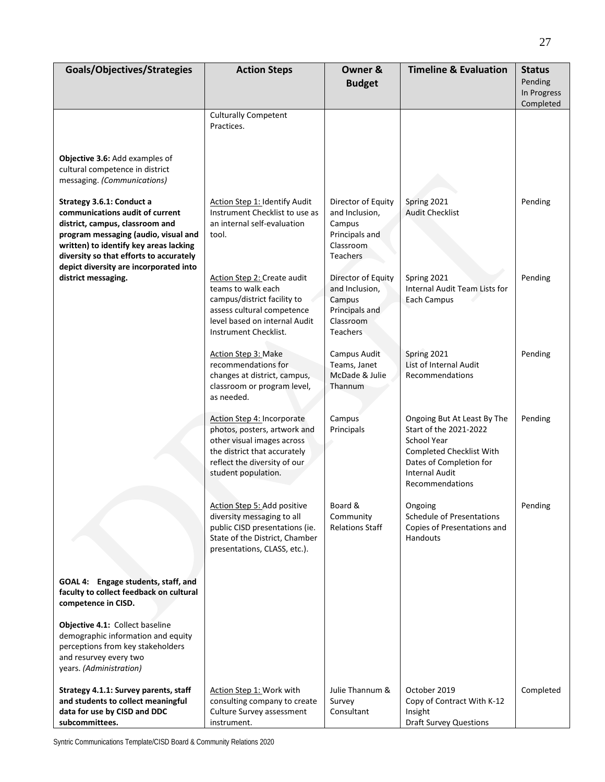| Goals/Objectives/Strategies                                                                                                                                                                                                                                            | <b>Action Steps</b>                                                                                                                                                             | Owner &<br><b>Budget</b>                                                                         | <b>Timeline &amp; Evaluation</b>                                                                                                                                               | <b>Status</b><br>Pending |
|------------------------------------------------------------------------------------------------------------------------------------------------------------------------------------------------------------------------------------------------------------------------|---------------------------------------------------------------------------------------------------------------------------------------------------------------------------------|--------------------------------------------------------------------------------------------------|--------------------------------------------------------------------------------------------------------------------------------------------------------------------------------|--------------------------|
|                                                                                                                                                                                                                                                                        |                                                                                                                                                                                 |                                                                                                  |                                                                                                                                                                                | In Progress<br>Completed |
| Objective 3.6: Add examples of<br>cultural competence in district                                                                                                                                                                                                      | <b>Culturally Competent</b><br>Practices.                                                                                                                                       |                                                                                                  |                                                                                                                                                                                |                          |
| messaging. (Communications)                                                                                                                                                                                                                                            |                                                                                                                                                                                 |                                                                                                  |                                                                                                                                                                                |                          |
| Strategy 3.6.1: Conduct a<br>communications audit of current<br>district, campus, classroom and<br>program messaging (audio, visual and<br>written) to identify key areas lacking<br>diversity so that efforts to accurately<br>depict diversity are incorporated into | Action Step 1: Identify Audit<br>Instrument Checklist to use as<br>an internal self-evaluation<br>tool.                                                                         | Director of Equity<br>and Inclusion,<br>Campus<br>Principals and<br>Classroom<br><b>Teachers</b> | Spring 2021<br><b>Audit Checklist</b>                                                                                                                                          | Pending                  |
| district messaging.                                                                                                                                                                                                                                                    | Action Step 2: Create audit<br>teams to walk each<br>campus/district facility to<br>assess cultural competence<br>level based on internal Audit<br>Instrument Checklist.        | Director of Equity<br>and Inclusion,<br>Campus<br>Principals and<br>Classroom<br>Teachers        | Spring 2021<br>Internal Audit Team Lists for<br>Each Campus                                                                                                                    | Pending                  |
|                                                                                                                                                                                                                                                                        | Action Step 3: Make<br>recommendations for<br>changes at district, campus,<br>classroom or program level,<br>as needed.                                                         | Campus Audit<br>Teams, Janet<br>McDade & Julie<br>Thannum                                        | Spring 2021<br>List of Internal Audit<br>Recommendations                                                                                                                       | Pending                  |
|                                                                                                                                                                                                                                                                        | Action Step 4: Incorporate<br>photos, posters, artwork and<br>other visual images across<br>the district that accurately<br>reflect the diversity of our<br>student population. | Campus<br>Principals                                                                             | Ongoing But At Least By The<br>Start of the 2021-2022<br><b>School Year</b><br>Completed Checklist With<br>Dates of Completion for<br><b>Internal Audit</b><br>Recommendations | Pending                  |
|                                                                                                                                                                                                                                                                        | <u> Action Step 5: Add positive</u><br>diversity messaging to all<br>public CISD presentations (ie.<br>State of the District, Chamber<br>presentations, CLASS, etc.).           | Board &<br>Community<br><b>Relations Staff</b>                                                   | Ongoing<br>Schedule of Presentations<br>Copies of Presentations and<br>Handouts                                                                                                | Pending                  |
| GOAL 4: Engage students, staff, and<br>faculty to collect feedback on cultural<br>competence in CISD.                                                                                                                                                                  |                                                                                                                                                                                 |                                                                                                  |                                                                                                                                                                                |                          |
| Objective 4.1: Collect baseline<br>demographic information and equity<br>perceptions from key stakeholders<br>and resurvey every two<br>years. (Administration)                                                                                                        |                                                                                                                                                                                 |                                                                                                  |                                                                                                                                                                                |                          |
| Strategy 4.1.1: Survey parents, staff<br>and students to collect meaningful<br>data for use by CISD and DDC<br>subcommittees.                                                                                                                                          | Action Step 1: Work with<br>consulting company to create<br>Culture Survey assessment<br>instrument.                                                                            | Julie Thannum &<br>Survey<br>Consultant                                                          | October 2019<br>Copy of Contract With K-12<br>Insight<br><b>Draft Survey Questions</b>                                                                                         | Completed                |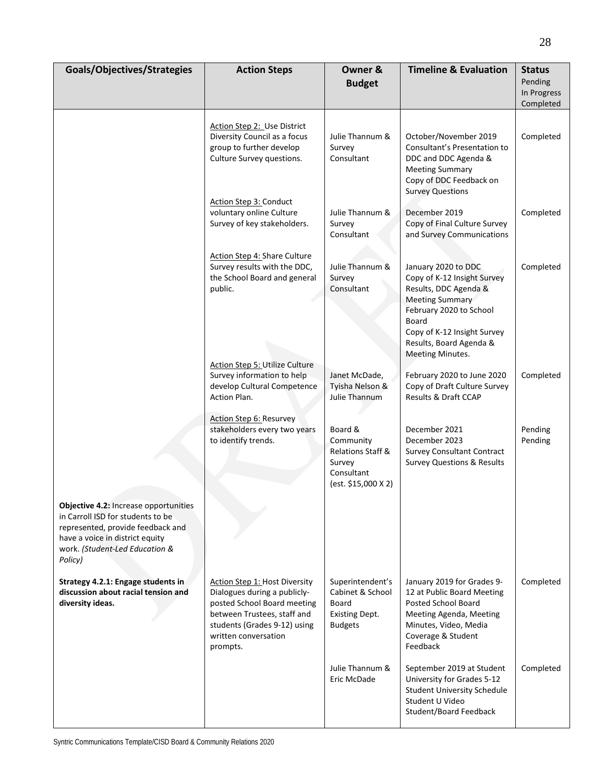| Goals/Objectives/Strategies                                                                                                                                                                     | <b>Action Steps</b>                                                                                                                                                                                    | Owner &<br><b>Budget</b>                                                                 | <b>Timeline &amp; Evaluation</b>                                                                                                                                                                                 | <b>Status</b><br>Pending<br>In Progress<br>Completed |
|-------------------------------------------------------------------------------------------------------------------------------------------------------------------------------------------------|--------------------------------------------------------------------------------------------------------------------------------------------------------------------------------------------------------|------------------------------------------------------------------------------------------|------------------------------------------------------------------------------------------------------------------------------------------------------------------------------------------------------------------|------------------------------------------------------|
|                                                                                                                                                                                                 | Action Step 2: Use District<br>Diversity Council as a focus<br>group to further develop<br>Culture Survey questions.                                                                                   | Julie Thannum &<br>Survey<br>Consultant                                                  | October/November 2019<br>Consultant's Presentation to<br>DDC and DDC Agenda &<br><b>Meeting Summary</b><br>Copy of DDC Feedback on<br><b>Survey Questions</b>                                                    | Completed                                            |
|                                                                                                                                                                                                 | Action Step 3: Conduct<br>voluntary online Culture<br>Survey of key stakeholders.                                                                                                                      | Julie Thannum &<br>Survey<br>Consultant                                                  | December 2019<br>Copy of Final Culture Survey<br>and Survey Communications                                                                                                                                       | Completed                                            |
|                                                                                                                                                                                                 | Action Step 4: Share Culture<br>Survey results with the DDC,<br>the School Board and general<br>public.                                                                                                | Julie Thannum &<br>Survey<br>Consultant                                                  | January 2020 to DDC<br>Copy of K-12 Insight Survey<br>Results, DDC Agenda &<br>Meeting Summary<br>February 2020 to School<br>Board<br>Copy of K-12 Insight Survey<br>Results, Board Agenda &<br>Meeting Minutes. | Completed                                            |
|                                                                                                                                                                                                 | <b>Action Step 5: Utilize Culture</b><br>Survey information to help<br>develop Cultural Competence<br>Action Plan.                                                                                     | Janet McDade,<br>Tyisha Nelson &<br>Julie Thannum                                        | February 2020 to June 2020<br>Copy of Draft Culture Survey<br>Results & Draft CCAP                                                                                                                               | Completed                                            |
|                                                                                                                                                                                                 | <b>Action Step 6: Resurvey</b><br>stakeholders every two years<br>to identify trends.                                                                                                                  | Board &<br>Community<br>Relations Staff &<br>Survey<br>Consultant<br>(est. \$15,000 X 2) | December 2021<br>December 2023<br><b>Survey Consultant Contract</b><br><b>Survey Questions &amp; Results</b>                                                                                                     | Pending<br>Pending                                   |
| Objective 4.2: Increase opportunities<br>in Carroll ISD for students to be<br>represented, provide feedback and<br>have a voice in district equity<br>work. (Student-Led Education &<br>Policy) |                                                                                                                                                                                                        |                                                                                          |                                                                                                                                                                                                                  |                                                      |
| Strategy 4.2.1: Engage students in<br>discussion about racial tension and<br>diversity ideas.                                                                                                   | <b>Action Step 1: Host Diversity</b><br>Dialogues during a publicly-<br>posted School Board meeting<br>between Trustees, staff and<br>students (Grades 9-12) using<br>written conversation<br>prompts. | Superintendent's<br>Cabinet & School<br>Board<br><b>Existing Dept.</b><br><b>Budgets</b> | January 2019 for Grades 9-<br>12 at Public Board Meeting<br><b>Posted School Board</b><br>Meeting Agenda, Meeting<br>Minutes, Video, Media<br>Coverage & Student<br>Feedback                                     | Completed                                            |
|                                                                                                                                                                                                 |                                                                                                                                                                                                        | Julie Thannum &<br>Eric McDade                                                           | September 2019 at Student<br>University for Grades 5-12<br><b>Student University Schedule</b><br>Student U Video<br>Student/Board Feedback                                                                       | Completed                                            |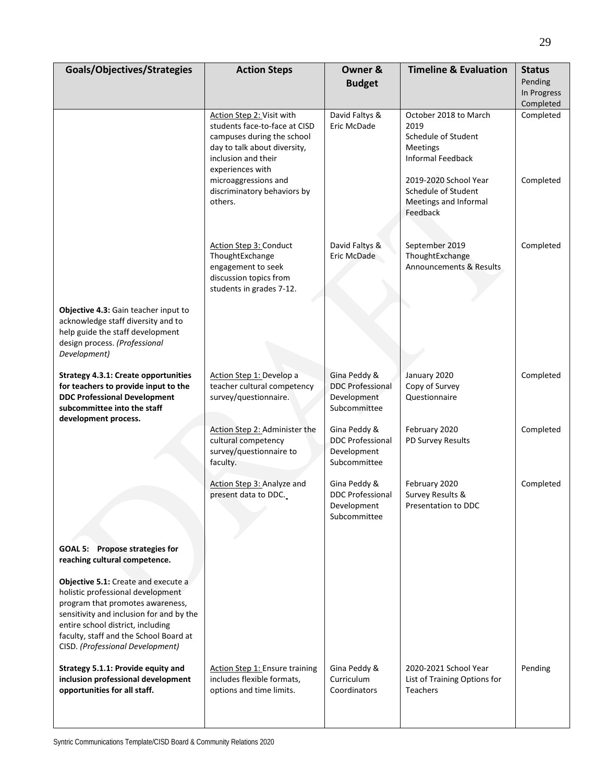| Goals/Objectives/Strategies                                                                                                                                                                                                                                                 | <b>Action Steps</b>                                                                                                                                                 | Owner &<br><b>Budget</b>                                               | <b>Timeline &amp; Evaluation</b>                                                                    | <b>Status</b><br>Pending<br>In Progress<br>Completed |
|-----------------------------------------------------------------------------------------------------------------------------------------------------------------------------------------------------------------------------------------------------------------------------|---------------------------------------------------------------------------------------------------------------------------------------------------------------------|------------------------------------------------------------------------|-----------------------------------------------------------------------------------------------------|------------------------------------------------------|
|                                                                                                                                                                                                                                                                             | Action Step 2: Visit with<br>students face-to-face at CISD<br>campuses during the school<br>day to talk about diversity,<br>inclusion and their<br>experiences with | David Faltys &<br>Eric McDade                                          | October 2018 to March<br>2019<br>Schedule of Student<br><b>Meetings</b><br><b>Informal Feedback</b> | Completed                                            |
|                                                                                                                                                                                                                                                                             | microaggressions and<br>discriminatory behaviors by<br>others.                                                                                                      |                                                                        | 2019-2020 School Year<br>Schedule of Student<br>Meetings and Informal<br>Feedback                   | Completed                                            |
|                                                                                                                                                                                                                                                                             | Action Step 3: Conduct<br>ThoughtExchange<br>engagement to seek<br>discussion topics from<br>students in grades 7-12.                                               | David Faltys &<br>Eric McDade                                          | September 2019<br>ThoughtExchange<br>Announcements & Results                                        | Completed                                            |
| Objective 4.3: Gain teacher input to<br>acknowledge staff diversity and to<br>help guide the staff development<br>design process. (Professional<br>Development)                                                                                                             |                                                                                                                                                                     |                                                                        |                                                                                                     |                                                      |
| <b>Strategy 4.3.1: Create opportunities</b><br>for teachers to provide input to the<br><b>DDC Professional Development</b><br>subcommittee into the staff<br>development process.                                                                                           | Action Step 1: Develop a<br>teacher cultural competency<br>survey/questionnaire.                                                                                    | Gina Peddy &<br><b>DDC Professional</b><br>Development<br>Subcommittee | January 2020<br>Copy of Survey<br>Questionnaire                                                     | Completed                                            |
|                                                                                                                                                                                                                                                                             | Action Step 2: Administer the<br>cultural competency<br>survey/questionnaire to<br>faculty.                                                                         | Gina Peddy &<br><b>DDC Professional</b><br>Development<br>Subcommittee | February 2020<br>PD Survey Results                                                                  | Completed                                            |
|                                                                                                                                                                                                                                                                             | Action Step 3: Analyze and<br>present data to DDC.                                                                                                                  | Gina Peddy &<br><b>DDC Professional</b><br>Development<br>Subcommittee | February 2020<br>Survey Results &<br>Presentation to DDC                                            | Completed                                            |
| GOAL 5: Propose strategies for<br>reaching cultural competence.                                                                                                                                                                                                             |                                                                                                                                                                     |                                                                        |                                                                                                     |                                                      |
| Objective 5.1: Create and execute a<br>holistic professional development<br>program that promotes awareness,<br>sensitivity and inclusion for and by the<br>entire school district, including<br>faculty, staff and the School Board at<br>CISD. (Professional Development) |                                                                                                                                                                     |                                                                        |                                                                                                     |                                                      |
| Strategy 5.1.1: Provide equity and<br>inclusion professional development<br>opportunities for all staff.                                                                                                                                                                    | <b>Action Step 1: Ensure training</b><br>includes flexible formats,<br>options and time limits.                                                                     | Gina Peddy &<br>Curriculum<br>Coordinators                             | 2020-2021 School Year<br>List of Training Options for<br><b>Teachers</b>                            | Pending                                              |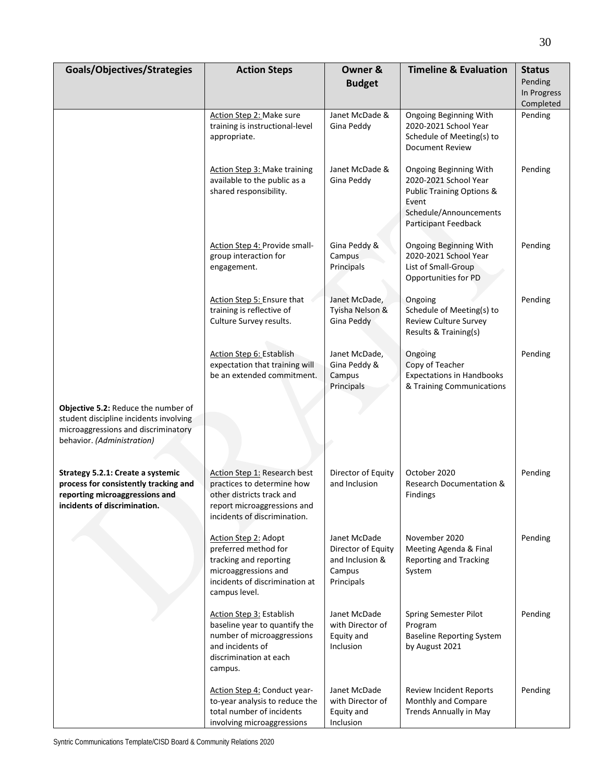| Goals/Objectives/Strategies                                                                                                                               | <b>Action Steps</b>                                                                                                                                    | Owner &<br><b>Budget</b>                                                      | <b>Timeline &amp; Evaluation</b>                                                                                                                   | <b>Status</b><br>Pending<br>In Progress<br>Completed |
|-----------------------------------------------------------------------------------------------------------------------------------------------------------|--------------------------------------------------------------------------------------------------------------------------------------------------------|-------------------------------------------------------------------------------|----------------------------------------------------------------------------------------------------------------------------------------------------|------------------------------------------------------|
|                                                                                                                                                           | Action Step 2: Make sure<br>training is instructional-level<br>appropriate.                                                                            | Janet McDade &<br>Gina Peddy                                                  | Ongoing Beginning With<br>2020-2021 School Year<br>Schedule of Meeting(s) to<br><b>Document Review</b>                                             | Pending                                              |
|                                                                                                                                                           | <b>Action Step 3: Make training</b><br>available to the public as a<br>shared responsibility.                                                          | Janet McDade &<br>Gina Peddy                                                  | Ongoing Beginning With<br>2020-2021 School Year<br><b>Public Training Options &amp;</b><br>Event<br>Schedule/Announcements<br>Participant Feedback | Pending                                              |
|                                                                                                                                                           | Action Step 4: Provide small-<br>group interaction for<br>engagement.                                                                                  | Gina Peddy &<br>Campus<br>Principals                                          | <b>Ongoing Beginning With</b><br>2020-2021 School Year<br>List of Small-Group<br>Opportunities for PD                                              | Pending                                              |
|                                                                                                                                                           | Action Step 5: Ensure that<br>training is reflective of<br>Culture Survey results.                                                                     | Janet McDade,<br>Tyisha Nelson &<br>Gina Peddy                                | Ongoing<br>Schedule of Meeting(s) to<br><b>Review Culture Survey</b><br>Results & Training(s)                                                      | Pending                                              |
|                                                                                                                                                           | Action Step 6: Establish<br>expectation that training will<br>be an extended commitment.                                                               | Janet McDade,<br>Gina Peddy &<br>Campus<br>Principals                         | Ongoing<br>Copy of Teacher<br><b>Expectations in Handbooks</b><br>& Training Communications                                                        | Pending                                              |
| <b>Objective 5.2: Reduce the number of</b><br>student discipline incidents involving<br>microaggressions and discriminatory<br>behavior. (Administration) |                                                                                                                                                        |                                                                               |                                                                                                                                                    |                                                      |
| Strategy 5.2.1: Create a systemic<br>process for consistently tracking and<br>reporting microaggressions and<br>incidents of discrimination.              | Action Step 1: Research best<br>practices to determine how<br>other districts track and<br>report microaggressions and<br>incidents of discrimination. | Director of Equity<br>and Inclusion                                           | October 2020<br>Research Documentation &<br>Findings                                                                                               | Pending                                              |
|                                                                                                                                                           | Action Step 2: Adopt<br>preferred method for<br>tracking and reporting<br>microaggressions and<br>incidents of discrimination at<br>campus level.      | Janet McDade<br>Director of Equity<br>and Inclusion &<br>Campus<br>Principals | November 2020<br>Meeting Agenda & Final<br>Reporting and Tracking<br>System                                                                        | Pending                                              |
|                                                                                                                                                           | Action Step 3: Establish<br>baseline year to quantify the<br>number of microaggressions<br>and incidents of<br>discrimination at each<br>campus.       | Janet McDade<br>with Director of<br>Equity and<br>Inclusion                   | Spring Semester Pilot<br>Program<br><b>Baseline Reporting System</b><br>by August 2021                                                             | Pending                                              |
|                                                                                                                                                           | Action Step 4: Conduct year-<br>to-year analysis to reduce the<br>total number of incidents<br>involving microaggressions                              | Janet McDade<br>with Director of<br>Equity and<br>Inclusion                   | <b>Review Incident Reports</b><br>Monthly and Compare<br>Trends Annually in May                                                                    | Pending                                              |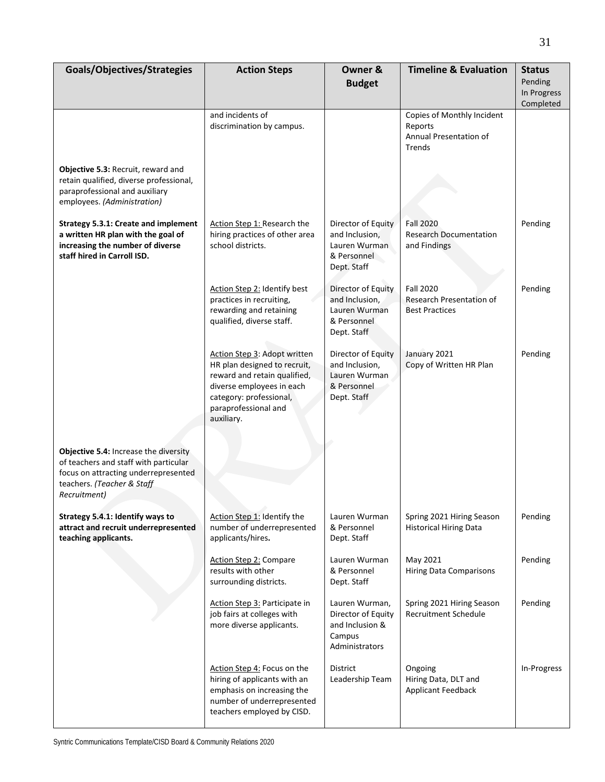| Goals/Objectives/Strategies                                                                                                                                          | <b>Action Steps</b>                                                                                                                                                                        | Owner &<br><b>Budget</b>                                                            | <b>Timeline &amp; Evaluation</b>                                                 | <b>Status</b><br>Pending |
|----------------------------------------------------------------------------------------------------------------------------------------------------------------------|--------------------------------------------------------------------------------------------------------------------------------------------------------------------------------------------|-------------------------------------------------------------------------------------|----------------------------------------------------------------------------------|--------------------------|
|                                                                                                                                                                      |                                                                                                                                                                                            |                                                                                     |                                                                                  | In Progress<br>Completed |
| Objective 5.3: Recruit, reward and<br>retain qualified, diverse professional,<br>paraprofessional and auxiliary<br>employees. (Administration)                       | and incidents of<br>discrimination by campus.                                                                                                                                              |                                                                                     | Copies of Monthly Incident<br>Reports<br>Annual Presentation of<br><b>Trends</b> |                          |
| <b>Strategy 5.3.1: Create and implement</b><br>a written HR plan with the goal of<br>increasing the number of diverse<br>staff hired in Carroll ISD.                 | Action Step 1: Research the<br>hiring practices of other area<br>school districts.                                                                                                         | Director of Equity<br>and Inclusion,<br>Lauren Wurman<br>& Personnel<br>Dept. Staff | <b>Fall 2020</b><br><b>Research Documentation</b><br>and Findings                | Pending                  |
|                                                                                                                                                                      | Action Step 2: Identify best<br>practices in recruiting,<br>rewarding and retaining<br>qualified, diverse staff.                                                                           | Director of Equity<br>and Inclusion,<br>Lauren Wurman<br>& Personnel<br>Dept. Staff | <b>Fall 2020</b><br>Research Presentation of<br><b>Best Practices</b>            | Pending                  |
|                                                                                                                                                                      | Action Step 3: Adopt written<br>HR plan designed to recruit,<br>reward and retain qualified,<br>diverse employees in each<br>category: professional,<br>paraprofessional and<br>auxiliary. | Director of Equity<br>and Inclusion,<br>Lauren Wurman<br>& Personnel<br>Dept. Staff | January 2021<br>Copy of Written HR Plan                                          | Pending                  |
| Objective 5.4: Increase the diversity<br>of teachers and staff with particular<br>focus on attracting underrepresented<br>teachers. (Teacher & Staff<br>Recruitment) |                                                                                                                                                                                            |                                                                                     |                                                                                  |                          |
| Strategy 5.4.1: Identify ways to<br>attract and recruit underrepresented<br>teaching applicants.                                                                     | Action Step 1: Identify the<br>number of underrepresented<br>applicants/hires.                                                                                                             | Lauren Wurman<br>& Personnel<br>Dept. Staff                                         | Spring 2021 Hiring Season<br><b>Historical Hiring Data</b>                       | Pending                  |
|                                                                                                                                                                      | <b>Action Step 2: Compare</b><br>results with other<br>surrounding districts.                                                                                                              | Lauren Wurman<br>& Personnel<br>Dept. Staff                                         | May 2021<br><b>Hiring Data Comparisons</b>                                       | Pending                  |
|                                                                                                                                                                      | Action Step 3: Participate in<br>job fairs at colleges with<br>more diverse applicants.                                                                                                    | Lauren Wurman,<br>Director of Equity<br>and Inclusion &<br>Campus<br>Administrators | Spring 2021 Hiring Season<br>Recruitment Schedule                                | Pending                  |
|                                                                                                                                                                      | Action Step 4: Focus on the<br>hiring of applicants with an<br>emphasis on increasing the<br>number of underrepresented<br>teachers employed by CISD.                                      | <b>District</b><br>Leadership Team                                                  | Ongoing<br>Hiring Data, DLT and<br><b>Applicant Feedback</b>                     | In-Progress              |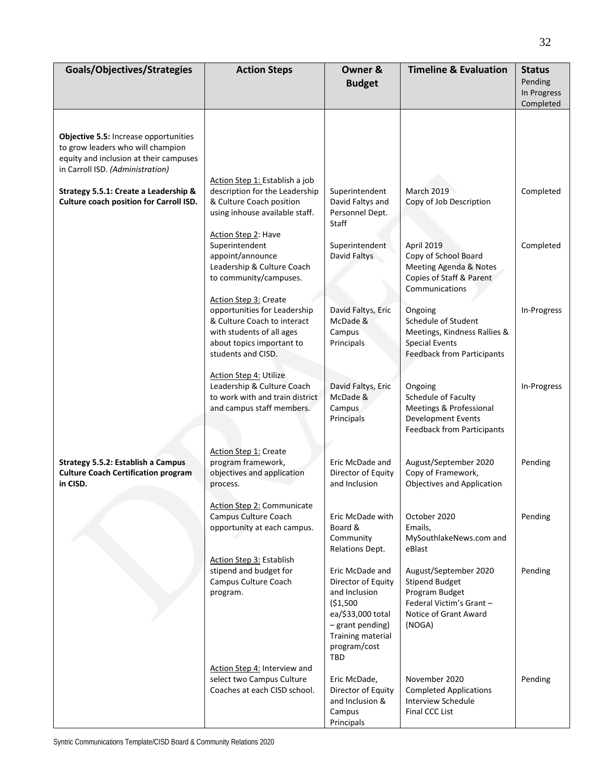| Goals/Objectives/Strategies                                                                                                                                     | <b>Action Steps</b>                                                                                                                                                         | Owner &<br><b>Budget</b>                                                                                                                                        | <b>Timeline &amp; Evaluation</b>                                                                                               | <b>Status</b><br>Pending<br>In Progress |
|-----------------------------------------------------------------------------------------------------------------------------------------------------------------|-----------------------------------------------------------------------------------------------------------------------------------------------------------------------------|-----------------------------------------------------------------------------------------------------------------------------------------------------------------|--------------------------------------------------------------------------------------------------------------------------------|-----------------------------------------|
|                                                                                                                                                                 |                                                                                                                                                                             |                                                                                                                                                                 |                                                                                                                                | Completed                               |
| <b>Objective 5.5: Increase opportunities</b><br>to grow leaders who will champion<br>equity and inclusion at their campuses<br>in Carroll ISD. (Administration) |                                                                                                                                                                             |                                                                                                                                                                 |                                                                                                                                |                                         |
|                                                                                                                                                                 | Action Step 1: Establish a job                                                                                                                                              |                                                                                                                                                                 |                                                                                                                                |                                         |
| Strategy 5.5.1: Create a Leadership &<br>Culture coach position for Carroll ISD.                                                                                | description for the Leadership<br>& Culture Coach position<br>using inhouse available staff.                                                                                | Superintendent<br>David Faltys and<br>Personnel Dept.<br>Staff                                                                                                  | <b>March 2019</b><br>Copy of Job Description                                                                                   | Completed                               |
|                                                                                                                                                                 | Action Step 2: Have<br>Superintendent<br>appoint/announce<br>Leadership & Culture Coach<br>to community/campuses.                                                           | Superintendent<br>David Faltys                                                                                                                                  | April 2019<br>Copy of School Board<br>Meeting Agenda & Notes<br>Copies of Staff & Parent<br>Communications                     | Completed                               |
|                                                                                                                                                                 | <b>Action Step 3: Create</b><br>opportunities for Leadership<br>& Culture Coach to interact<br>with students of all ages<br>about topics important to<br>students and CISD. | David Faltys, Eric<br>McDade &<br>Campus<br>Principals                                                                                                          | Ongoing<br>Schedule of Student<br>Meetings, Kindness Rallies &<br><b>Special Events</b><br><b>Feedback from Participants</b>   | In-Progress                             |
|                                                                                                                                                                 | Action Step 4: Utilize<br>Leadership & Culture Coach<br>to work with and train district<br>and campus staff members.                                                        | David Faltys, Eric<br>McDade &<br>Campus<br>Principals                                                                                                          | Ongoing<br>Schedule of Faculty<br>Meetings & Professional<br>Development Events<br><b>Feedback from Participants</b>           | In-Progress                             |
| <b>Strategy 5.5.2: Establish a Campus</b><br><b>Culture Coach Certification program</b><br>in CISD.                                                             | Action Step 1: Create<br>program framework,<br>objectives and application<br>process.                                                                                       | Eric McDade and<br>Director of Equity<br>and Inclusion                                                                                                          | August/September 2020<br>Copy of Framework,<br><b>Objectives and Application</b>                                               | Pending                                 |
|                                                                                                                                                                 | Action Step 2: Communicate<br>Campus Culture Coach<br>opportunity at each campus.                                                                                           | Eric McDade with<br>Board &<br>Community<br>Relations Dept.                                                                                                     | October 2020<br>Emails,<br>MySouthlakeNews.com and<br>eBlast                                                                   | Pending                                 |
|                                                                                                                                                                 | Action Step 3: Establish<br>stipend and budget for<br>Campus Culture Coach<br>program.                                                                                      | Eric McDade and<br>Director of Equity<br>and Inclusion<br>( \$1,500<br>ea/\$33,000 total<br>- grant pending)<br><b>Training material</b><br>program/cost<br>TBD | August/September 2020<br><b>Stipend Budget</b><br>Program Budget<br>Federal Victim's Grant-<br>Notice of Grant Award<br>(NOGA) | Pending                                 |
|                                                                                                                                                                 | Action Step 4: Interview and<br>select two Campus Culture<br>Coaches at each CISD school.                                                                                   | Eric McDade,<br>Director of Equity<br>and Inclusion &<br>Campus<br>Principals                                                                                   | November 2020<br><b>Completed Applications</b><br><b>Interview Schedule</b><br>Final CCC List                                  | Pending                                 |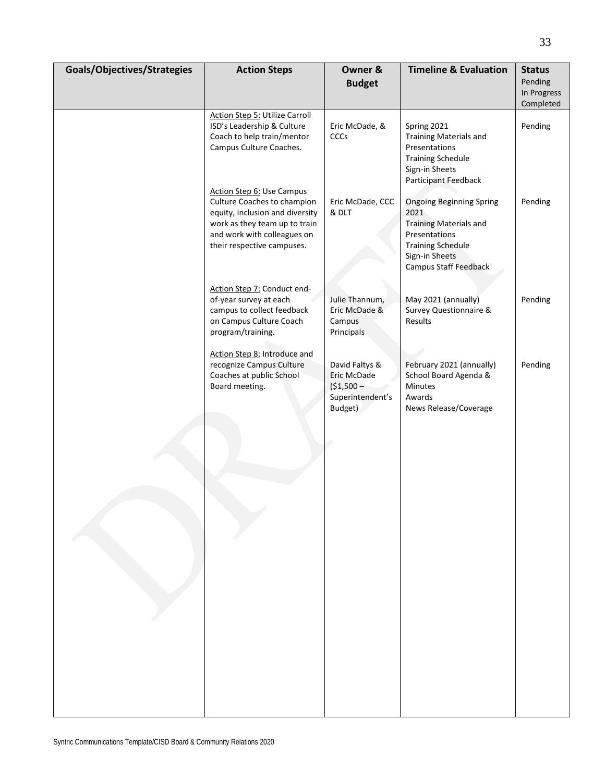| Goals/Objectives/Strategies | <b>Action Steps</b>                                                                                                                                                                       | Owner &<br><b>Budget</b>                                                    | <b>Timeline &amp; Evaluation</b>                                                                                                                                 | <b>Status</b><br>Pending<br>In Progress<br>Completed |
|-----------------------------|-------------------------------------------------------------------------------------------------------------------------------------------------------------------------------------------|-----------------------------------------------------------------------------|------------------------------------------------------------------------------------------------------------------------------------------------------------------|------------------------------------------------------|
|                             | <b>Action Step 5: Utilize Carroll</b><br>ISD's Leadership & Culture<br>Coach to help train/mentor<br>Campus Culture Coaches.                                                              | Eric McDade, &<br>CCCs                                                      | Spring 2021<br><b>Training Materials and</b><br>Presentations<br><b>Training Schedule</b><br>Sign-in Sheets<br>Participant Feedback                              | Pending                                              |
|                             | Action Step 6: Use Campus<br>Culture Coaches to champion<br>equity, inclusion and diversity<br>work as they team up to train<br>and work with colleagues on<br>their respective campuses. | Eric McDade, CCC<br>& DLT                                                   | <b>Ongoing Beginning Spring</b><br>2021<br><b>Training Materials and</b><br>Presentations<br><b>Training Schedule</b><br>Sign-in Sheets<br>Campus Staff Feedback | Pending                                              |
|                             | Action Step 7: Conduct end-<br>of-year survey at each<br>campus to collect feedback<br>on Campus Culture Coach<br>program/training.                                                       | Julie Thannum,<br>Eric McDade &<br>Campus<br>Principals                     | May 2021 (annually)<br>Survey Questionnaire &<br>Results                                                                                                         | Pending                                              |
|                             | Action Step 8: Introduce and<br>recognize Campus Culture<br>Coaches at public School<br>Board meeting.                                                                                    | David Faltys &<br>Eric McDade<br>$($1,500 -$<br>Superintendent's<br>Budget) | February 2021 (annually)<br>School Board Agenda &<br>Minutes<br>Awards<br>News Release/Coverage                                                                  | Pending                                              |
|                             |                                                                                                                                                                                           |                                                                             |                                                                                                                                                                  |                                                      |
|                             |                                                                                                                                                                                           |                                                                             |                                                                                                                                                                  |                                                      |
|                             |                                                                                                                                                                                           |                                                                             |                                                                                                                                                                  |                                                      |
|                             |                                                                                                                                                                                           |                                                                             |                                                                                                                                                                  |                                                      |